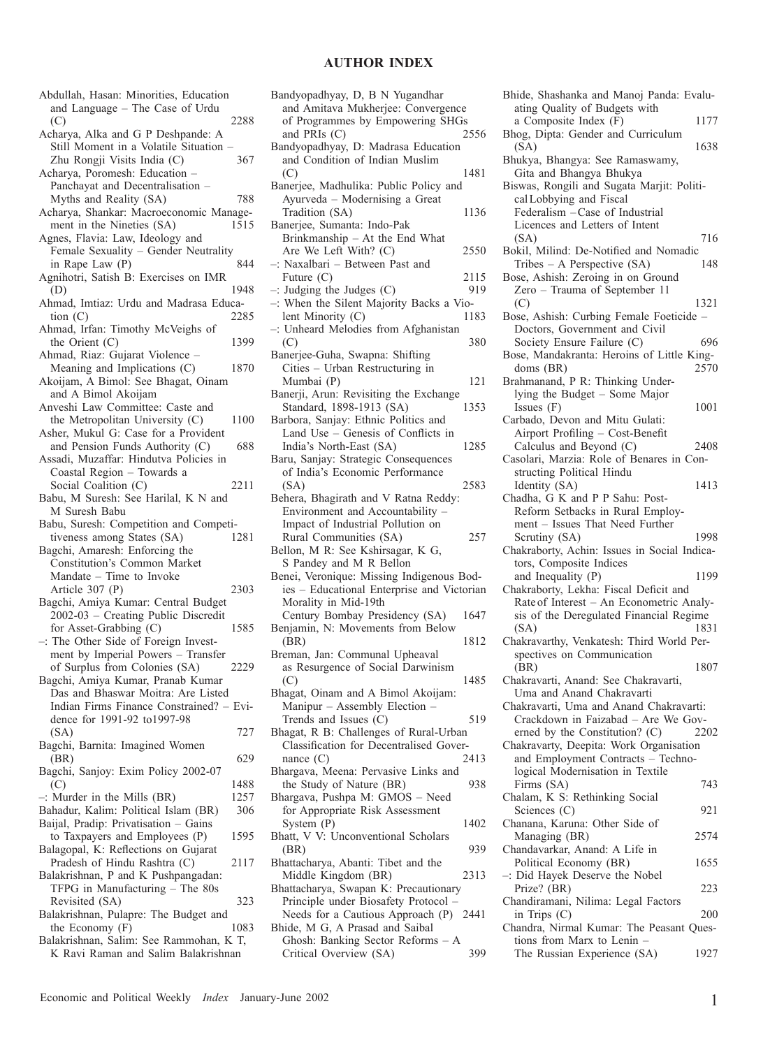## **AUTHOR INDEX**

| Abdullah, Hasan: Minorities, Education                                         |      |
|--------------------------------------------------------------------------------|------|
| and Language - The Case of Urdu                                                |      |
| (C)                                                                            | 2288 |
| Acharya, Alka and G P Deshpande: A                                             |      |
| Still Moment in a Volatile Situation                                           |      |
| Zhu Rongji Visits India (C)                                                    | 367  |
| Acharya, Poromesh: Education                                                   |      |
| Panchayat and Decentralisation                                                 |      |
| Myths and Reality (SA)                                                         | 788  |
| Acharya, Shankar: Macroeconomic Manage-                                        |      |
| ment in the Nineties (SA)                                                      | 1515 |
| Agnes, Flavia: Law, Ideology and                                               |      |
| Female Sexuality - Gender Neutrality                                           |      |
| in Rape Law (P)                                                                | 844  |
| Agnihotri, Satish B: Exercises on IMR                                          |      |
| (D)                                                                            | 1948 |
| Ahmad, Imtiaz: Urdu and Madrasa Educa-                                         |      |
| tion $(C)$                                                                     | 2285 |
| Ahmad, Irfan: Timothy McVeighs of                                              | 1399 |
| the Orient $(C)$<br>Ahmad, Riaz: Gujarat Violence -                            |      |
| Meaning and Implications (C)                                                   | 1870 |
| Akoijam, A Bimol: See Bhagat, Oinam                                            |      |
| and A Bimol Akoijam                                                            |      |
| Anveshi Law Committee: Caste and                                               |      |
| the Metropolitan University (C)                                                | 1100 |
| Asher, Mukul G: Case for a Provident                                           |      |
| and Pension Funds Authority (C)                                                | 688  |
| Assadi, Muzaffar: Hindutva Policies in                                         |      |
| Coastal Region - Towards a                                                     |      |
| Social Coalition (C)                                                           | 2211 |
| Babu, M Suresh: See Harilal, K N and                                           |      |
| M Suresh Babu                                                                  |      |
| Babu, Suresh: Competition and Competi-                                         |      |
| tiveness among States (SA)<br>Bagchi, Amaresh: Enforcing the                   | 1281 |
| Constitution's Common Market                                                   |      |
| Mandate – Time to Invoke                                                       |      |
| Article 307 (P)                                                                | 2303 |
| Bagchi, Amiya Kumar: Central Budget                                            |      |
| 2002-03 - Creating Public Discredit                                            |      |
| for Asset-Grabbing (C)                                                         | 1585 |
| -: The Other Side of Foreign Invest-                                           |      |
| ment by Imperial Powers - Transfer                                             |      |
| of Surplus from Colonies (SA)                                                  | 2229 |
| Bagchi, Amiya Kumar, Pranab Kumar                                              |      |
| Das and Bhaswar Moitra: Are Listed                                             |      |
| Indian Firms Finance Constrained? - Evi-                                       |      |
| dence for 1991-92 to 1997-98                                                   |      |
| (SA)                                                                           | 727  |
| Bagchi, Barnita: Imagined Women                                                |      |
| (BR)<br>Bagchi, Sanjoy: Exim Policy 2002-07                                    | 629  |
| (C)                                                                            | 1488 |
| $-$ : Murder in the Mills (BR)                                                 | 1257 |
| Bahadur, Kalim: Political Islam (BR)                                           | 306  |
| Baijal, Pradip: Privatisation - Gains                                          |      |
| to Taxpayers and Employees (P)                                                 | 1595 |
| Balagopal, K: Reflections on Gujarat                                           |      |
| Pradesh of Hindu Rashtra (C)                                                   | 2117 |
| Balakrishnan, P and K Pushpangadan:                                            |      |
| TFPG in Manufacturing - The 80s                                                |      |
| Revisited (SA)                                                                 | 323  |
| Balakrishnan, Pulapre: The Budget and                                          |      |
| the Economy $(F)$                                                              | 1083 |
| Balakrishnan, Salim: See Rammohan, K T,<br>K Ravi Raman and Salim Balakrishnan |      |
|                                                                                |      |

| Bandyopadhyay, D, B N Yugandhar                                      |
|----------------------------------------------------------------------|
| and Amitava Mukherjee: Convergence                                   |
| of Programmes by Empowering SHGs                                     |
| and PRIs $(C)$<br>2556                                               |
| Bandyopadhyay, D: Madrasa Education                                  |
| and Condition of Indian Muslim<br>1481                               |
| (C)<br>Banerjee, Madhulika: Public Policy and                        |
| Ayurveda - Modernising a Great                                       |
| Tradition (SA)<br>1136                                               |
| Banerjee, Sumanta: Indo-Pak                                          |
| Brinkmanship - At the End What                                       |
| Are We Left With? (C)<br>2550                                        |
| -: Naxalbari - Between Past and                                      |
| Future (C)<br>2115                                                   |
| $-$ : Judging the Judges (C)<br>919                                  |
| -: When the Silent Majority Backs a Vio-                             |
| lent Minority (C)<br>1183                                            |
| -: Unheard Melodies from Afghanistan                                 |
| (C)<br>380                                                           |
| Banerjee-Guha, Swapna: Shifting                                      |
| Cities - Urban Restructuring in<br>121                               |
| Mumbai (P)<br>Banerji, Arun: Revisiting the Exchange                 |
| Standard, 1898-1913 (SA)<br>1353                                     |
| Barbora, Sanjay: Ethnic Politics and                                 |
| Land Use - Genesis of Conflicts in                                   |
| India's North-East (SA)<br>1285                                      |
| Baru, Sanjay: Strategic Consequences                                 |
| of India's Economic Performance                                      |
| 2583<br>(SA)                                                         |
| Behera, Bhagirath and V Ratna Reddy:                                 |
| Environment and Accountability -                                     |
|                                                                      |
| Impact of Industrial Pollution on                                    |
| Rural Communities (SA)<br>257                                        |
| Bellon, M R: See Kshirsagar, K G,                                    |
| S Pandey and M R Bellon                                              |
| Benei, Veronique: Missing Indigenous Bod-                            |
| ies - Educational Enterprise and Victorian                           |
| Morality in Mid-19th                                                 |
| Century Bombay Presidency (SA)<br>1647                               |
| Benjamin, N: Movements from Below                                    |
| (BR)<br>1812                                                         |
| Breman, Jan: Communal Upheaval                                       |
| as Resurgence of Social Darwinism                                    |
| 1485<br>(C)                                                          |
| Bhagat, Oinam and A Bimol Akoijam:                                   |
| Manipur – Assembly Election –<br>519                                 |
| Trends and Issues (C)<br>Bhagat, R B: Challenges of Rural-Urban      |
| Classification for Decentralised Gover-                              |
| nance $(C)$<br>2413                                                  |
| Bhargava, Meena: Pervasive Links and                                 |
| the Study of Nature (BR)<br>938                                      |
| Bhargava, Pushpa M: GMOS - Need                                      |
| for Appropriate Risk Assessment                                      |
| System (P)<br>1402                                                   |
| Bhatt, V V: Unconventional Scholars                                  |
| (BR)<br>939                                                          |
| Bhattacharya, Abanti: Tibet and the                                  |
| Middle Kingdom (BR)<br>2313                                          |
| Bhattacharya, Swapan K: Precautionary                                |
| Principle under Biosafety Protocol                                   |
| Needs for a Cautious Approach (P)<br>2441                            |
| Bhide, M G, A Prasad and Saibal<br>Ghosh: Banking Sector Reforms - A |

| Bhide, Shashanka and Manoj Panda: Evalu-                                       |      |
|--------------------------------------------------------------------------------|------|
| ating Quality of Budgets with<br>a Composite Index (F)                         | 1177 |
| Bhog, Dipta: Gender and Curriculum                                             |      |
| (SA)<br>Bhukya, Bhangya: See Ramaswamy,                                        | 1638 |
| Gita and Bhangya Bhukya                                                        |      |
| Biswas, Rongili and Sugata Marjit: Politi-<br>cal Lobbying and Fiscal          |      |
| Federalism - Case of Industrial                                                |      |
| Licences and Letters of Intent<br>(SA)                                         | 716  |
| Bokil, Milind: De-Notified and Nomadic                                         |      |
| Tribes $-$ A Perspective (SA)                                                  | 148  |
| Bose, Ashish: Zeroing in on Ground<br>Zero - Trauma of September 11            |      |
| (C)                                                                            | 1321 |
| Bose, Ashish: Curbing Female Foeticide -                                       |      |
| Doctors, Government and Civil                                                  |      |
| Society Ensure Failure (C)                                                     | 696  |
| Bose, Mandakranta: Heroins of Little King-                                     |      |
| doms (BR)                                                                      | 2570 |
| Brahmanand, P R: Thinking Under-                                               |      |
| lying the Budget - Some Major                                                  |      |
| Issues $(F)$                                                                   | 1001 |
| Carbado, Devon and Mitu Gulati:                                                |      |
| Airport Profiling - Cost-Benefit                                               |      |
| Calculus and Beyond (C)                                                        | 2408 |
| Casolari, Marzia: Role of Benares in Con-                                      |      |
| structing Political Hindu                                                      |      |
| Identity (SA)                                                                  | 1413 |
| Chadha, G K and P P Sahu: Post-<br>Reform Setbacks in Rural Employ-            |      |
| ment - Issues That Need Further                                                |      |
| Scrutiny (SA)                                                                  | 1998 |
| Chakraborty, Achin: Issues in Social Indica-                                   |      |
| tors, Composite Indices                                                        |      |
| and Inequality (P)                                                             | 1199 |
| Chakraborty, Lekha: Fiscal Deficit and                                         |      |
| Rate of Interest - An Econometric Analy-                                       |      |
| sis of the Deregulated Financial Regime                                        |      |
| (SA)                                                                           | 1831 |
| Chakravarthy, Venkatesh: Third World Per-                                      |      |
| spectives on Communication                                                     |      |
| (BR)                                                                           | 1807 |
| Chakravarti, Anand: See Chakravarti,                                           |      |
| Uma and Anand Chakravarti                                                      |      |
| Chakravarti, Uma and Anand Chakravarti:<br>Crackdown in Faizabad - Are We Gov- |      |
| erned by the Constitution? (C)                                                 | 2202 |
| Chakravarty, Deepita: Work Organisation                                        |      |
| and Employment Contracts - Techno-                                             |      |
| logical Modernisation in Textile                                               |      |
| Firms (SA)                                                                     | 743  |
| Chalam, K S: Rethinking Social                                                 |      |
| Sciences $(C)$                                                                 | 921  |
| Chanana, Karuna: Other Side of                                                 |      |
| Managing (BR)                                                                  | 2574 |
| Chandavarkar, Anand: A Life in                                                 |      |
| Political Economy (BR)                                                         | 1655 |
| -: Did Hayek Deserve the Nobel                                                 |      |
| Prize? (BR)                                                                    | 223  |
| Chandiramani, Nilima: Legal Factors<br>in Trips $(C)$                          | 200  |
| Chandra, Nirmal Kumar: The Peasant Ques-                                       |      |
| tions from Marx to Lenin -                                                     |      |
| The Russian Experience (SA)                                                    | 1927 |
|                                                                                |      |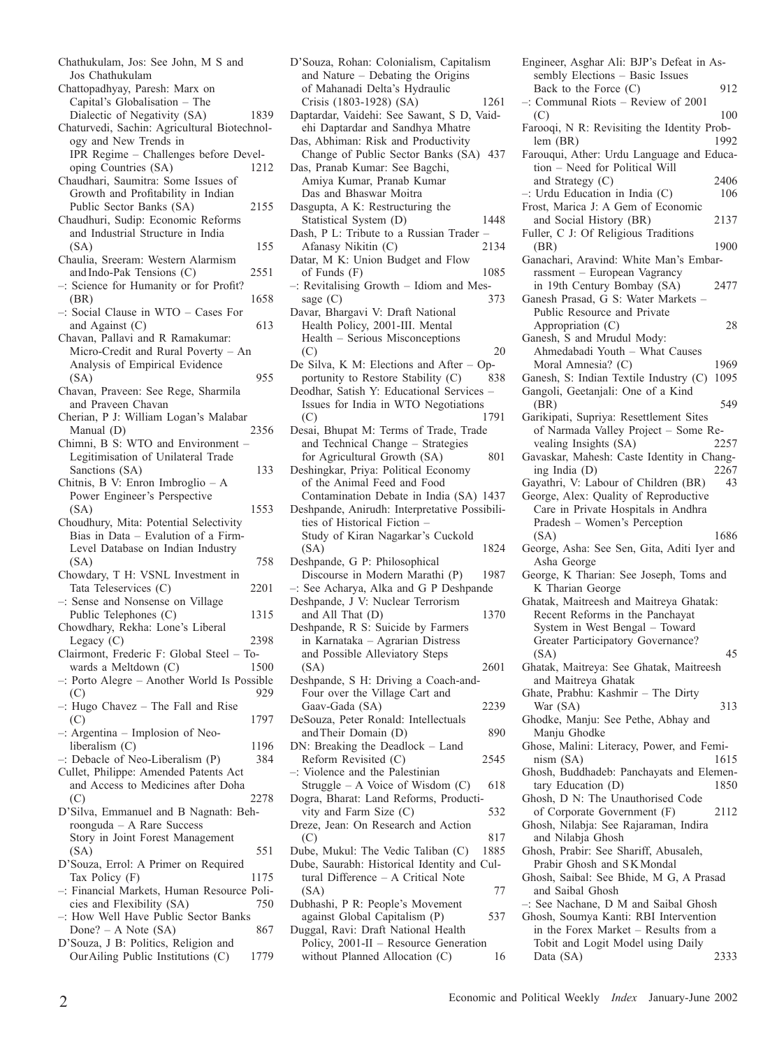- Chathukulam, Jos: See John, M S and Jos Chathukulam Chattopadhyay, Paresh: Marx on Capital's Globalisation – The Dialectic of Negativity (SA) 1839 Chaturvedi, Sachin: Agricultural Biotechnology and New Trends in IPR Regime – Challenges before Developing Countries (SA) 1212 Chaudhari, Saumitra: Some Issues of Growth and Profitability in Indian Public Sector Banks (SA) 2155 Chaudhuri, Sudip: Economic Reforms and Industrial Structure in India (SA) 155 Chaulia, Sreeram: Western Alarmism and Indo-Pak Tensions (C) 2551 –: Science for Humanity or for Profit? (BR) 1658 –: Social Clause in WTO – Cases For and Against  $(C)$  613 Chavan, Pallavi and R Ramakumar: Micro-Credit and Rural Poverty – An Analysis of Empirical Evidence (SA) 955 Chavan, Praveen: See Rege, Sharmila and Praveen Chavan Cherian, P J: William Logan's Malabar Manual (D) 2356 Chimni, B S: WTO and Environment – Legitimisation of Unilateral Trade Sanctions (SA) 133 Chitnis, B V: Enron Imbroglio – A Power Engineer's Perspective (SA) 1553 Choudhury, Mita: Potential Selectivity Bias in Data – Evalution of a Firm-Level Database on Indian Industry (SA) 758 Chowdary, T H: VSNL Investment in Tata Teleservices (C) 2201 –: Sense and Nonsense on Village Public Telephones (C) 1315 Chowdhary, Rekha: Lone's Liberal Legacy  $(C)$  2398 Clairmont, Frederic F: Global Steel – Towards a Meltdown (C) 1500 –: Porto Alegre – Another World Is Possible  $(C)$  929 –: Hugo Chavez – The Fall and Rise  $(C)$ (C) 1797 –: Argentina – Implosion of Neoliberalism (C) 1196<br>Debacle of Neo-Liberalism (P) 384  $-$ : Debacle of Neo-Liberalism  $(P)$ Cullet, Philippe: Amended Patents Act and Access to Medicines after Doha (C) 2278 D'Silva, Emmanuel and B Nagnath: Behroonguda – A Rare Success Story in Joint Forest Management  $(SA)$  551 D'Souza, Errol: A Primer on Required Tax Policy (F) 1175 –: Financial Markets, Human Resource Policies and Flexibility (SA) 750 –: How Well Have Public Sector Banks Done? – A Note  $(SA)$  867 D'Souza, J B: Politics, Religion and OurAiling Public Institutions (C) 1779
	- D'Souza, Rohan: Colonialism, Capitalism and Nature – Debating the Origins of Mahanadi Delta's Hydraulic Crisis (1803-1928) (SA) 1261 Daptardar, Vaidehi: See Sawant, S D, Vaidehi Daptardar and Sandhya Mhatre Das, Abhiman: Risk and Productivity Change of Public Sector Banks (SA) 437 Das, Pranab Kumar: See Bagchi, Amiya Kumar, Pranab Kumar Das and Bhaswar Moitra Dasgupta, A K: Restructuring the Statistical System (D) 1448 Dash, P L: Tribute to a Russian Trader Afanasy Nikitin (C) 2134 Datar, M K: Union Budget and Flow of Funds  $(F)$  1085 –: Revitalising Growth – Idiom and Message  $(C)$  373 Davar, Bhargavi V: Draft National Health Policy, 2001-III. Mental Health – Serious Misconceptions  $(C)$  20 De Silva, K M: Elections and After – Opportunity to Restore Stability (C) 838 Deodhar, Satish Y: Educational Services – Issues for India in WTO Negotiations (C) 1791 Desai, Bhupat M: Terms of Trade, Trade and Technical Change – Strategies for Agricultural Growth (SA) 801 Deshingkar, Priya: Political Economy of the Animal Feed and Food Contamination Debate in India (SA) 1437 Deshpande, Anirudh: Interpretative Possibilities of Historical Fiction – Study of Kiran Nagarkar's Cuckold (SA) 1824 Deshpande, G P: Philosophical Discourse in Modern Marathi (P) 1987 –: See Acharya, Alka and G P Deshpande Deshpande, J V: Nuclear Terrorism and All That (D) 1370 Deshpande, R S: Suicide by Farmers in Karnataka – Agrarian Distress and Possible Alleviatory Steps (SA) 2601 Deshpande, S H: Driving a Coach-and-Four over the Village Cart and Gaav-Gada (SA) 2239 DeSouza, Peter Ronald: Intellectuals and Their Domain (D) 890 DN: Breaking the Deadlock – Land Reform Revisited (C) 2545 –: Violence and the Palestinian Struggle – A Voice of Wisdom  $(C)$  618 Dogra, Bharat: Land Reforms, Productivity and Farm Size (C) 532 Dreze, Jean: On Research and Action  $(C)$  817 Dube, Mukul: The Vedic Taliban (C) 1885 Dube, Saurabh: Historical Identity and Cultural Difference – A Critical Note (SA) 77 Dubhashi, P R: People's Movement against Global Capitalism (P) 537 Duggal, Ravi: Draft National Health
		- Policy, 2001-II Resource Generation without Planned Allocation (C) 16

Engineer, Asghar Ali: BJP's Defeat in Assembly Elections – Basic Issues Back to the Force (C) 912 –: Communal Riots – Review of 2001  $($ C $)$  100 Farooqi, N R: Revisiting the Identity Prob-<br>lem (BR) 1992  $lem (BR)$ Farouqui, Ather: Urdu Language and Education – Need for Political Will and Strategy (C) 2406 –: Urdu Education in India (C) 106 Frost, Marica J: A Gem of Economic and Social History (BR) 2137 Fuller, C J: Of Religious Traditions (BR) 1900 Ganachari, Aravind: White Man's Embarrassment – European Vagrancy in 19th Century Bombay (SA) 2477 Ganesh Prasad, G S: Water Markets – Public Resource and Private Appropriation (C) 28 Ganesh, S and Mrudul Mody: Ahmedabadi Youth – What Causes Moral Amnesia? (C) 1969 Ganesh, S: Indian Textile Industry (C) 1095 Gangoli, Geetanjali: One of a Kind (BR) 549 Garikipati, Supriya: Resettlement Sites of Narmada Valley Project – Some Re-<br>vealing Insights (SA) 2257 vealing Insights (SA) Gavaskar, Mahesh: Caste Identity in Changing India (D) 2267<br>avathri. V: Labour of Children (BR) 43 Gayathri, V: Labour of Children (BR) George, Alex: Quality of Reproductive Care in Private Hospitals in Andhra Pradesh – Women's Perception (SA) 1686 George, Asha: See Sen, Gita, Aditi Iyer and Asha George George, K Tharian: See Joseph, Toms and K Tharian George Ghatak, Maitreesh and Maitreya Ghatak: Recent Reforms in the Panchayat System in West Bengal – Toward Greater Participatory Governance?  $(SA)$  45 Ghatak, Maitreya: See Ghatak, Maitreesh and Maitreya Ghatak Ghate, Prabhu: Kashmir – The Dirty War (SA) 313 Ghodke, Manju: See Pethe, Abhay and Manju Ghodke Ghose, Malini: Literacy, Power, and Feminism (SA) 1615 Ghosh, Buddhadeb: Panchayats and Elementary Education (D) 1850 Ghosh, D N: The Unauthorised Code of Corporate Government (F) 2112 Ghosh, Nilabja: See Rajaraman, Indira and Nilabja Ghosh Ghosh, Prabir: See Shariff, Abusaleh, Prabir Ghosh and SKMondal Ghosh, Saibal: See Bhide, M G, A Prasad and Saibal Ghosh –: See Nachane, D M and Saibal Ghosh Ghosh, Soumya Kanti: RBI Intervention in the Forex Market – Results from a Tobit and Logit Model using Daily

Data (SA) 2333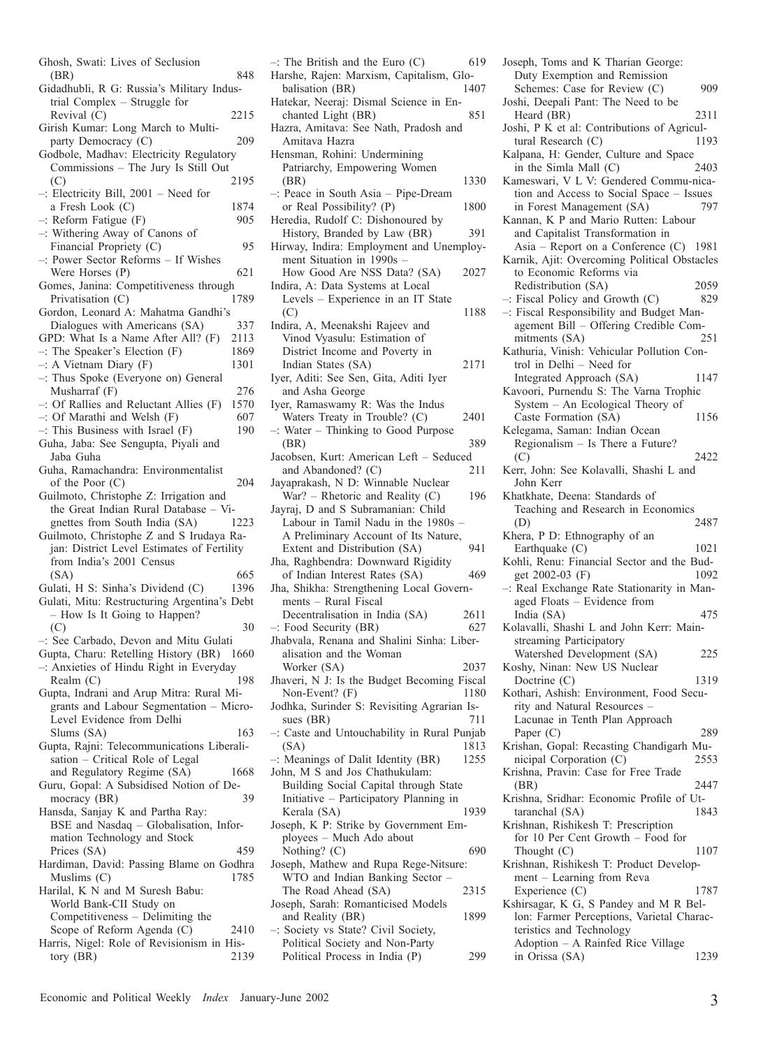| Ghosh, Swati: Lives of Seclusion                                               |              |
|--------------------------------------------------------------------------------|--------------|
| (BR)                                                                           | 848          |
| Gidadhubli, R G: Russia's Military Indus-                                      |              |
| trial Complex - Struggle for                                                   |              |
| Revival (C)                                                                    | 2215         |
| Girish Kumar: Long March to Multi-                                             |              |
| party Democracy (C)                                                            | 209          |
| Godbole, Madhav: Electricity Regulatory<br>Commissions - The Jury Is Still Out |              |
| (C)                                                                            | 2195         |
| $-$ : Electricity Bill, 2001 - Need for                                        |              |
| a Fresh Look (C)                                                               | 1874         |
| $-$ : Reform Fatigue $(F)$                                                     | 905          |
| -: Withering Away of Canons of                                                 |              |
| Financial Propriety (C)                                                        | 95           |
| -: Power Sector Reforms - If Wishes                                            |              |
| Were Horses (P)                                                                | 621          |
| Gomes, Janina: Competitiveness through                                         |              |
| Privatisation (C)                                                              | 1789         |
| Gordon, Leonard A: Mahatma Gandhi's                                            |              |
| Dialogues with Americans (SA)                                                  | 337          |
| GPD: What Is a Name After All? (F)<br>$-$ : The Speaker's Election (F)         | 2113<br>1869 |
| $-$ : A Vietnam Diary (F)                                                      | 1301         |
| -: Thus Spoke (Everyone on) General                                            |              |
| Musharraf $(F)$                                                                | 276          |
| $-$ : Of Rallies and Reluctant Allies (F)                                      | 1570         |
| -: Of Marathi and Welsh (F)                                                    | 607          |
| -: This Business with Israel (F)                                               | 190          |
| Guha, Jaba: See Sengupta, Piyali and                                           |              |
| Jaba Guha                                                                      |              |
| Guha, Ramachandra: Environmentalist                                            |              |
| of the Poor $(C)$                                                              | 204          |
| Guilmoto, Christophe Z: Irrigation and                                         |              |
| the Great Indian Rural Database - Vi-<br>gnettes from South India (SA)         |              |
| Guilmoto, Christophe Z and S Irudaya Ra-                                       | 1223         |
| jan: District Level Estimates of Fertility                                     |              |
| from India's 2001 Census                                                       |              |
| (SA)                                                                           | 665          |
| Gulati, H S: Sinha's Dividend (C)                                              | 1396         |
| Gulati, Mitu: Restructuring Argentina's Debt                                   |              |
| - How Is It Going to Happen?                                                   |              |
| (C)                                                                            | 30           |
| -: See Carbado, Devon and Mitu Gulati                                          |              |
| Gupta, Charu: Retelling History (BR) 1660                                      |              |
| -: Anxieties of Hindu Right in Everyday<br>Realm (C)                           |              |
|                                                                                |              |
|                                                                                | 198          |
| Gupta, Indrani and Arup Mitra: Rural Mi-                                       |              |
| grants and Labour Segmentation - Micro-                                        |              |
| Level Evidence from Delhi                                                      | 163          |
| Slums (SA)                                                                     |              |
| Gupta, Rajni: Telecommunications Liberali-<br>sation - Critical Role of Legal  |              |
| and Regulatory Regime (SA)                                                     | 1668         |
| Guru, Gopal: A Subsidised Notion of De-                                        |              |
| mocracy (BR)                                                                   | 39           |
| Hansda, Sanjay K and Partha Ray:                                               |              |
| BSE and Nasdaq - Globalisation, Infor-                                         |              |
| mation Technology and Stock                                                    |              |
| Prices (SA)                                                                    | 459          |
| Hardiman, David: Passing Blame on Godhra                                       |              |
| Muslims (C)                                                                    | 1785         |
| Harilal, K N and M Suresh Babu:                                                |              |
| World Bank-CII Study on<br>Competitiveness - Delimiting the                    |              |
| Scope of Reform Agenda (C)                                                     | 2410         |
| Harris, Nigel: Role of Revisionism in His-<br>tory (BR)                        | 2139         |

| $-$ : The British and the Euro (C)<br>619                                       |
|---------------------------------------------------------------------------------|
| Harshe, Rajen: Marxism, Capitalism, Glo-                                        |
| balisation (BR)<br>1407                                                         |
| Hatekar, Neeraj: Dismal Science in En-<br>chanted Light (BR)<br>851             |
| Hazra, Amitava: See Nath, Pradosh and                                           |
| Amitava Hazra                                                                   |
| Hensman, Rohini: Undermining                                                    |
| Patriarchy, Empowering Women                                                    |
| 1330<br>(BR)                                                                    |
| -: Peace in South Asia - Pipe-Dream                                             |
| or Real Possibility? (P)<br>1800                                                |
| Heredia, Rudolf C: Dishonoured by                                               |
| History, Branded by Law (BR)<br>391<br>Hirway, Indira: Employment and Unemploy- |
| ment Situation in 1990s -                                                       |
| How Good Are NSS Data? (SA)<br>2027                                             |
| Indira, A: Data Systems at Local                                                |
| Levels - Experience in an IT State                                              |
| (C)<br>1188                                                                     |
| Indira, A, Meenakshi Rajeev and                                                 |
| Vinod Vyasulu: Estimation of                                                    |
| District Income and Poverty in<br>Indian States (SA)<br>2171                    |
| Iyer, Aditi: See Sen, Gita, Aditi Iyer                                          |
| and Asha George                                                                 |
| Iyer, Ramaswamy R: Was the Indus                                                |
| Waters Treaty in Trouble? (C)<br>2401                                           |
| -: Water - Thinking to Good Purpose                                             |
| 389<br>(BR)                                                                     |
| Jacobsen, Kurt: American Left - Seduced                                         |
| and Abandoned? (C)<br>211<br>Jayaprakash, N D: Winnable Nuclear                 |
| War? - Rhetoric and Reality (C)<br>196                                          |
|                                                                                 |
|                                                                                 |
| Jayraj, D and S Subramanian: Child<br>Labour in Tamil Nadu in the 1980s -       |
| A Preliminary Account of Its Nature,                                            |
| 941<br>Extent and Distribution (SA)                                             |
| Jha, Raghbendra: Downward Rigidity                                              |
| of Indian Interest Rates (SA)<br>469                                            |
| Jha, Shikha: Strengthening Local Govern-                                        |
| ments - Rural Fiscal                                                            |
| Decentralisation in India (SA)<br>2611<br>627                                   |
| $-$ : Food Security (BR)<br>Jhabvala, Renana and Shalini Sinha: Liber-          |
| alisation and the Woman                                                         |
| 2037<br>Worker (SA)                                                             |
| Jhaveri, N J: Is the Budget Becoming Fiscal                                     |
| Non-Event? (F)<br>1180                                                          |
| Jodhka, Surinder S: Revisiting Agrarian Is-                                     |
| sues (BR)<br>711                                                                |
| -: Caste and Untouchability in Rural Punjab<br>(SA)<br>1813                     |
| -: Meanings of Dalit Identity (BR)<br>1255                                      |
| John, M S and Jos Chathukulam:                                                  |
| Building Social Capital through State                                           |
| Initiative - Participatory Planning in                                          |
| Kerala (SA)<br>1939                                                             |
| Joseph, K P: Strike by Government Em-                                           |
| ployees - Much Ado about<br>690                                                 |
| Nothing? (C)<br>Joseph, Mathew and Rupa Rege-Nitsure:                           |
| WTO and Indian Banking Sector -                                                 |
| The Road Ahead (SA)<br>2315                                                     |
| Joseph, Sarah: Romanticised Models                                              |
| and Reality (BR)<br>1899                                                        |
| -: Society vs State? Civil Society,<br>Political Society and Non-Party          |

Joseph, Toms and K Tharian George: Duty Exemption and Remission Schemes: Case for Review (C) 909 Joshi, Deepali Pant: The Need to be Heard (BR) 2311 Joshi, P K et al: Contributions of Agricultural Research (C) Kalpana, H: Gender, Culture and Space in the Simla Mall (C) 2403 Kameswari, V L V: Gendered Commu-nication and Access to Social Space – Issues<br>in Forest Management (SA) 797 in Forest Management (SA) Kannan, K P and Mario Rutten: Labour and Capitalist Transformation in Asia – Report on a Conference (C) 1981 Karnik, Ajit: Overcoming Political Obstacles to Economic Reforms via Redistribution (SA) 2059 –: Fiscal Policy and Growth (C) 829 –: Fiscal Responsibility and Budget Management Bill – Offering Credible Commitments (SA) 251 Kathuria, Vinish: Vehicular Pollution Control in Delhi – Need for Integrated Approach (SA) 1147 Kavoori, Purnendu S: The Varna Trophic System – An Ecological Theory of Caste Formation (SA) 1156 Kelegama, Saman: Indian Ocean Regionalism – Is There a Future? (C) 2422 Kerr, John: See Kolavalli, Shashi L and John Kerr Khatkhate, Deena: Standards of Teaching and Research in Economics (D) 2487 Khera, P D: Ethnography of an Earthquake  $(C)$  1021 Kohli, Renu: Financial Sector and the Budget 2002-03 (F) 1092 –: Real Exchange Rate Stationarity in Managed Floats – Evidence from India (SA) 475 Kolavalli, Shashi L and John Kerr: Mainstreaming Participatory Watershed Development (SA) 225 Koshy, Ninan: New US Nuclear Doctrine (C) 1319 Kothari, Ashish: Environment, Food Security and Natural Resources – Lacunae in Tenth Plan Approach Paper (C) 289 Krishan, Gopal: Recasting Chandigarh Municipal Corporation (C) 2553 Krishna, Pravin: Case for Free Trade (BR) 2447 Krishna, Sridhar: Economic Profile of Uttaranchal (SA) 1843 Krishnan, Rishikesh T: Prescription for 10 Per Cent Growth – Food for Thought (C) 1107 Krishnan, Rishikesh T: Product Development – Learning from Reva Experience (C) 1787 Kshirsagar, K G, S Pandey and M R Bellon: Farmer Perceptions, Varietal Characteristics and Technology Adoption – A Rainfed Rice Village

in Orissa (SA) 1239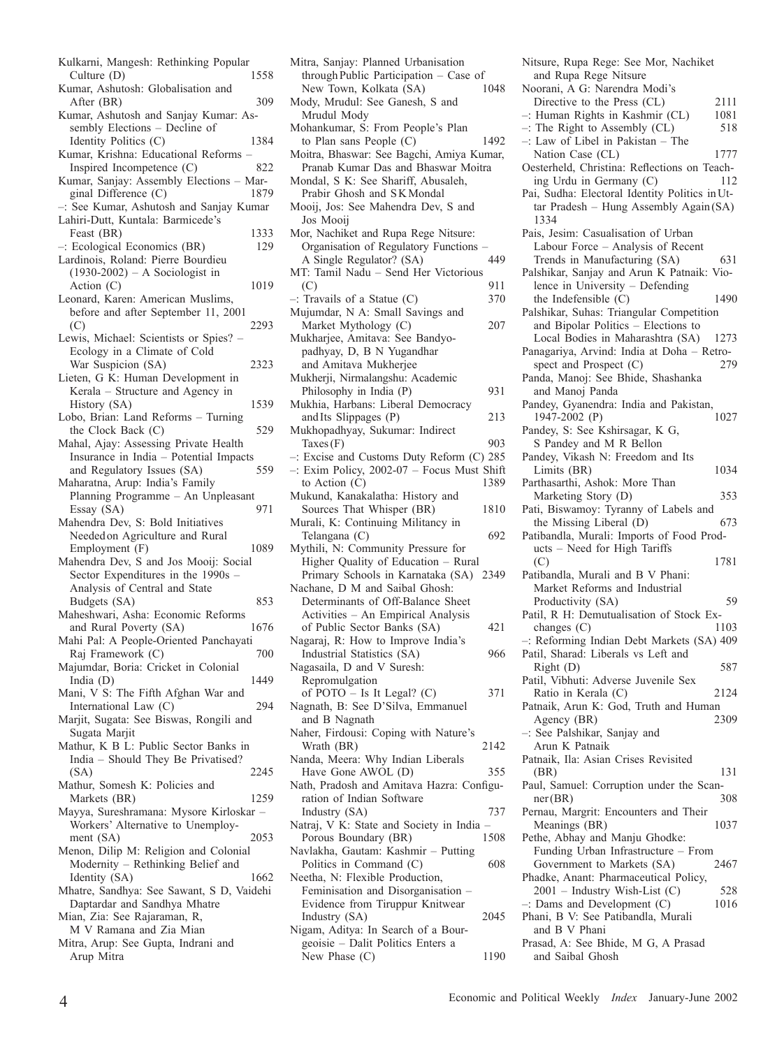| 1558<br>Culture (D)                                           |
|---------------------------------------------------------------|
| Kumar, Ashutosh: Globalisation and                            |
| After (BR)<br>309                                             |
| Kumar, Ashutosh and Sanjay Kumar: As-                         |
| sembly Elections - Decline of                                 |
| Identity Politics (C)<br>1384                                 |
| Kumar, Krishna: Educational Reforms                           |
| Inspired Incompetence (C)<br>822                              |
| Kumar, Sanjay: Assembly Elections - Mar-                      |
| ginal Difference (C)<br>1879                                  |
| -: See Kumar, Ashutosh and Sanjay Kumar                       |
| Lahiri-Dutt, Kuntala: Barmicede's                             |
| 1333<br>Feast (BR)                                            |
| -: Ecological Economics (BR)<br>129                           |
| Lardinois, Roland: Pierre Bourdieu                            |
| $(1930-2002)$ – A Sociologist in                              |
| Action $(C)$<br>1019                                          |
| Leonard, Karen: American Muslims,                             |
| before and after September 11, 2001                           |
| 2293<br>(C)                                                   |
| Lewis, Michael: Scientists or Spies?                          |
| Ecology in a Climate of Cold                                  |
| War Suspicion (SA)<br>2323                                    |
| Lieten, G K: Human Development in                             |
| Kerala - Structure and Agency in                              |
| History (SA)<br>1539                                          |
| Lobo, Brian: Land Reforms - Turning                           |
| the Clock Back (C)<br>529                                     |
| Mahal, Ajay: Assessing Private Health                         |
| Insurance in India - Potential Impacts<br>559                 |
| and Regulatory Issues (SA)<br>Maharatna, Arup: India's Family |
| Planning Programme - An Unpleasant                            |
| Essay (SA)<br>971                                             |
| Mahendra Dev, S: Bold Initiatives                             |
|                                                               |
|                                                               |
| Needed on Agriculture and Rural                               |
| 1089<br>Employment (F)                                        |
| Mahendra Dev, S and Jos Mooij: Social                         |
| Sector Expenditures in the 1990s -                            |
| Analysis of Central and State<br>853                          |
| Budgets (SA)<br>Maheshwari, Asha: Economic Reforms            |
| and Rural Poverty (SA)<br>1676                                |
| Mahi Pal: A People-Oriented Panchayati                        |
| Raj Framework (C)<br>700                                      |
| Majumdar, Boria: Cricket in Colonial                          |
| India $(D)$<br>1449                                           |
| Mani, V S: The Fifth Afghan War and                           |
| International Law (C)<br>294                                  |
| Marjit, Sugata: See Biswas, Rongili and                       |
| Sugata Marjit                                                 |
| Mathur, K B L: Public Sector Banks in                         |
| India - Should They Be Privatised?                            |
| 2245<br>(SA)                                                  |
| Mathur, Somesh K: Policies and                                |
| 1259<br>Markets (BR)                                          |
| Mayya, Sureshramana: Mysore Kirloskar -                       |
| Workers' Alternative to Unemploy-                             |
| ment (SA)<br>2053                                             |
| Menon, Dilip M: Religion and Colonial                         |
| Modernity - Rethinking Belief and                             |
| 1662<br>Identity (SA)                                         |
| Mhatre, Sandhya: See Sawant, S D, Vaidehi                     |
| Daptardar and Sandhya Mhatre                                  |
| Mian, Zia: See Rajaraman, R,                                  |
| M V Ramana and Zia Mian                                       |
| Mitra, Arup: See Gupta, Indrani and<br>Arup Mitra             |

| Mitra, Sanjay: Planned Urbanisation          |      |
|----------------------------------------------|------|
| through Public Participation - Case of       |      |
| New Town, Kolkata (SA)                       | 1048 |
| Mody, Mrudul: See Ganesh, S and              |      |
| Mrudul Mody                                  |      |
|                                              |      |
| Mohankumar, S: From People's Plan            |      |
| to Plan sans People $(C)$                    | 1492 |
| Moitra, Bhaswar: See Bagchi, Amiya Kumar,    |      |
| Pranab Kumar Das and Bhaswar Moitra          |      |
| Mondal, S K: See Shariff, Abusaleh,          |      |
|                                              |      |
| Prabir Ghosh and SK Mondal                   |      |
| Mooij, Jos: See Mahendra Dev, S and          |      |
| Jos Mooij                                    |      |
| Mor, Nachiket and Rupa Rege Nitsure:         |      |
|                                              |      |
| Organisation of Regulatory Functions         |      |
| A Single Regulator? (SA)                     | 449  |
| MT: Tamil Nadu - Send Her Victorious         |      |
| (C)                                          | 911  |
|                                              |      |
| $-$ : Travails of a Statue (C)               | 370  |
| Mujumdar, N A: Small Savings and             |      |
| Market Mythology (C)                         | 207  |
| Mukharjee, Amitava: See Bandyo-              |      |
|                                              |      |
| padhyay, D, B N Yugandhar                    |      |
| and Amitava Mukherjee                        |      |
| Mukherji, Nirmalangshu: Academic             |      |
| Philosophy in India (P)                      | 931  |
| Mukhia, Harbans: Liberal Democracy           |      |
|                                              |      |
| and Its Slippages (P)                        | 213  |
| Mukhopadhyay, Sukumar: Indirect              |      |
| $\text{Taxes}(\mathbf{F})$                   | 903  |
| $-$ : Excise and Customs Duty Reform (C) 285 |      |
|                                              |      |
| -: Exim Policy, 2002-07 - Focus Must Shift   |      |
| to Action $(C)$                              | 1389 |
| Mukund, Kanakalatha: History and             |      |
| Sources That Whisper (BR)                    | 1810 |
| Murali, K: Continuing Militancy in           |      |
|                                              |      |
| Telangana (C)                                | 692  |
| Mythili, N: Community Pressure for           |      |
| Higher Quality of Education - Rural          |      |
| Primary Schools in Karnataka (SA) 2349       |      |
|                                              |      |
| Nachane, D M and Saibal Ghosh:               |      |
| Determinants of Off-Balance Sheet            |      |
| Activities - An Empirical Analysis           |      |
| of Public Sector Banks (SA)                  | 421  |
| Nagaraj, R: How to Improve India's           |      |
|                                              |      |
| Industrial Statistics (SA)                   | 966  |
| Nagasaila, D and V Suresh:                   |      |
| Repromulgation                               |      |
|                                              |      |
|                                              |      |
| of POTO - Is It Legal? (C)                   | 371  |
| Nagnath, B: See D'Silva, Emmanuel            |      |
| and B Nagnath                                |      |
|                                              |      |
| Naher, Firdousi: Coping with Nature's        |      |
| Wrath (BR)                                   | 2142 |
| Nanda, Meera: Why Indian Liberals            |      |
| Have Gone AWOL (D)                           | 355  |
|                                              |      |
| Nath, Pradosh and Amitava Hazra: Configu-    |      |
| ration of Indian Software                    |      |
| Industry (SA)                                | 737  |
| Natraj, V K: State and Society in India -    |      |
|                                              |      |
| Porous Boundary (BR)                         | 1508 |
| Navlakha, Gautam: Kashmir - Putting          |      |
| Politics in Command (C)                      | 608  |
| Neetha, N: Flexible Production,              |      |
| Feminisation and Disorganisation -           |      |
|                                              |      |
| Evidence from Tiruppur Knitwear              |      |
| Industry (SA)                                | 2045 |
| Nigam, Aditya: In Search of a Bour-          |      |
| geoisie - Dalit Politics Enters a            | 1190 |

Nitsure, Rupa Rege: See Mor, Nachiket and Rupa Rege Nitsure Noorani, A G: Narendra Modi's Directive to the Press (CL) 2111 –: Human Rights in Kashmir (CL)  $1081$ <br>–: The Right to Assembly (CL)  $518$  $-$ : The Right to Assembly (CL) –: Law of Libel in Pakistan – The Nation Case (CL) 1777 Oesterheld, Christina: Reflections on Teach-<br>ing Urdu in Germany (C) 112 ing Urdu in Germany (C) Pai, Sudha: Electoral Identity Politics inUttar Pradesh – Hung Assembly Again(SA) 1334 Pais, Jesim: Casualisation of Urban Labour Force – Analysis of Recent Trends in Manufacturing (SA) 631 Palshikar, Sanjay and Arun K Patnaik: Violence in University – Defending the Indefensible (C) 1490 Palshikar, Suhas: Triangular Competition and Bipolar Politics – Elections to Local Bodies in Maharashtra (SA) 1273 Panagariya, Arvind: India at Doha – Retro-<br>spect and Prospect (C) 279 spect and Prospect  $(C)$ Panda, Manoj: See Bhide, Shashanka and Manoj Panda Pandey, Gyanendra: India and Pakistan,<br>1947-2002 (P) 1027  $1947-2002$  (P) Pandey, S: See Kshirsagar, K G, S Pandey and M R Bellon Pandey, Vikash N: Freedom and Its Limits (BR) 1034 Parthasarthi, Ashok: More Than Marketing Story (D) 353 Pati, Biswamoy: Tyranny of Labels and the Missing Liberal (D) 673 Patibandla, Murali: Imports of Food Products – Need for High Tariffs (C) 1781 Patibandla, Murali and B V Phani: Market Reforms and Industrial Productivity (SA) 59 Patil, R H: Demutualisation of Stock Ex $changes (C)$  1103 –: Reforming Indian Debt Markets (SA) 409 Patil, Sharad: Liberals vs Left and Right (D) 587 Patil, Vibhuti: Adverse Juvenile Sex Ratio in Kerala (C) 2124 Patnaik, Arun K: God, Truth and Human<br>Agency (BR) 2309 Agency (BR) –: See Palshikar, Sanjay and Arun K Patnaik Patnaik, Ila: Asian Crises Revisited (BR) 131 Paul, Samuel: Corruption under the Scanner(BR) 308 Pernau, Margrit: Encounters and Their Meanings (BR) 1037 Pethe, Abhay and Manju Ghodke: Funding Urban Infrastructure – From Government to Markets (SA) 2467 Phadke, Anant: Pharmaceutical Policy,  $2001$  – Industry Wish-List (C) 528<br>Dams and Development (C) 1016  $-$ : Dams and Development  $(C)$ Phani, B V: See Patibandla, Murali and B V Phani Prasad, A: See Bhide, M G, A Prasad and Saibal Ghosh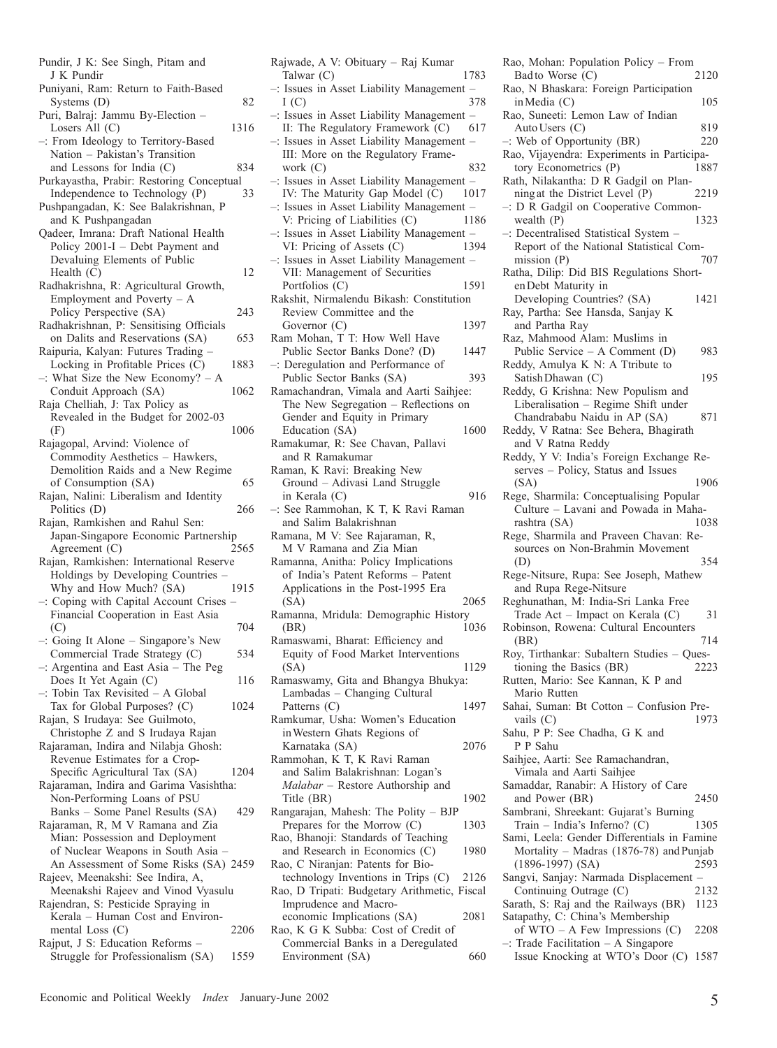| Pundir, J K: See Singh, Pitam and                                          |      |
|----------------------------------------------------------------------------|------|
| J K Pundir<br>Puniyani, Ram: Return to Faith-Based                         |      |
| Systems $(D)$                                                              | 82   |
| Puri, Balraj: Jammu By-Election -                                          |      |
| Losers All (C)                                                             | 1316 |
| -: From Ideology to Territory-Based                                        |      |
| Nation - Pakistan's Transition                                             |      |
| and Lessons for India (C)<br>Purkayastha, Prabir: Restoring Conceptual     | 834  |
| Independence to Technology (P)                                             | 33   |
| Pushpangadan, K: See Balakrishnan, P                                       |      |
| and K Pushpangadan                                                         |      |
| Qadeer, Imrana: Draft National Health                                      |      |
| Policy 2001-I - Debt Payment and                                           |      |
| Devaluing Elements of Public                                               |      |
| Health $(C)$                                                               | 12   |
| Radhakrishna, R: Agricultural Growth,<br>Employment and Poverty $- A$      |      |
| Policy Perspective (SA)                                                    | 243  |
| Radhakrishnan, P: Sensitising Officials                                    |      |
| on Dalits and Reservations (SA)                                            | 653  |
| Raipuria, Kalyan: Futures Trading                                          |      |
| Locking in Profitable Prices (C)                                           | 1883 |
| $-$ : What Size the New Economy? $-$ A                                     |      |
| Conduit Approach (SA)<br>Raja Chelliah, J: Tax Policy as                   | 1062 |
| Revealed in the Budget for 2002-03                                         |      |
| (F)                                                                        | 1006 |
| Rajagopal, Arvind: Violence of                                             |      |
| Commodity Aesthetics - Hawkers,                                            |      |
| Demolition Raids and a New Regime                                          |      |
| of Consumption (SA)                                                        | 65   |
| Rajan, Nalini: Liberalism and Identity<br>Politics (D)                     | 266  |
| Rajan, Ramkishen and Rahul Sen:                                            |      |
| Japan-Singapore Economic Partnership                                       |      |
| Agreement (C)                                                              | 2565 |
| Rajan, Ramkishen: International Reserve                                    |      |
| Holdings by Developing Countries -<br>Why and How Much? (SA)               | 1915 |
| -: Coping with Capital Account Crises                                      |      |
| Financial Cooperation in East Asia                                         |      |
| (C)                                                                        | 704  |
| $-$ : Going It Alone – Singapore's New                                     |      |
| Commercial Trade Strategy (C)                                              | 534  |
| -: Argentina and East Asia - The Peg                                       |      |
| Does It Yet Again (C)<br>-: Tobin Tax Revisited - A Global                 | 116  |
| Tax for Global Purposes? (C)                                               | 1024 |
| Rajan, S Irudaya: See Guilmoto,                                            |      |
| Christophe Z and S Irudaya Rajan                                           |      |
| Rajaraman, Indira and Nilabja Ghosh:                                       |      |
| Revenue Estimates for a Crop-                                              |      |
| Specific Agricultural Tax (SA)<br>Rajaraman, Indira and Garima Vasishtha:  | 1204 |
| Non-Performing Loans of PSU                                                |      |
| Banks - Some Panel Results (SA)                                            | 429  |
| Rajaraman, R, M V Ramana and Zia                                           |      |
| Mian: Possession and Deployment                                            |      |
| of Nuclear Weapons in South Asia -                                         |      |
| An Assessment of Some Risks (SA) 2459<br>Rajeev, Meenakshi: See Indira, A, |      |
| Meenakshi Rajeev and Vinod Vyasulu                                         |      |
| Rajendran, S: Pesticide Spraying in                                        |      |
| Kerala - Human Cost and Environ-                                           |      |
| mental Loss (C)                                                            | 2206 |
| Rajput, J S: Education Reforms -                                           |      |
| Struggle for Professionalism (SA)                                          | 1559 |
|                                                                            |      |

Rajwade, A V: Obituary – Raj Kumar Talwar (C) 1783 –: Issues in Asset Liability Management –  $I(C)$  378  $I(C)$  378 –: Issues in Asset Liability Management – II: The Regulatory Framework (C) 617 –: Issues in Asset Liability Management – III: More on the Regulatory Framework (C) 832 –: Issues in Asset Liability Management – IV: The Maturity Gap Model (C) 1017 –: Issues in Asset Liability Management – V: Pricing of Liabilities (C) 1186 –: Issues in Asset Liability Management – VI: Pricing of Assets (C) 1394 –: Issues in Asset Liability Management – VII: Management of Securities Portfolios (C) 1591 Rakshit, Nirmalendu Bikash: Constitution Review Committee and the Governor (C) 1397 Ram Mohan, T T: How Well Have Public Sector Banks Done? (D) 1447 –: Deregulation and Performance of Public Sector Banks (SA) 393 Ramachandran, Vimala and Aarti Saihjee: The New Segregation – Reflections on Gender and Equity in Primary Education (SA) 1600 Ramakumar, R: See Chavan, Pallavi and R Ramakumar Raman, K Ravi: Breaking New Ground – Adivasi Land Struggle in Kerala (C) 916 –: See Rammohan, K T, K Ravi Raman and Salim Balakrishnan Ramana, M V: See Rajaraman, R, M V Ramana and Zia Mian Ramanna, Anitha: Policy Implications of India's Patent Reforms – Patent Applications in the Post-1995 Era (SA) 2065 Ramanna, Mridula: Demographic History (BR) 1036 Ramaswami, Bharat: Efficiency and Equity of Food Market Interventions (SA) 1129 Ramaswamy, Gita and Bhangya Bhukya: Lambadas – Changing Cultural Patterns (C) 1497 Ramkumar, Usha: Women's Education inWestern Ghats Regions of Karnataka (SA) 2076 Rammohan, K T, K Ravi Raman and Salim Balakrishnan: Logan's *Malabar* – Restore Authorship and Title (BR) 1902 Rangarajan, Mahesh: The Polity – BJP Prepares for the Morrow (C) 1303 Rao, Bhanoji: Standards of Teaching and Research in Economics (C) 1980 Rao, C Niranjan: Patents for Biotechnology Inventions in Trips (C) 2126 Rao, D Tripati: Budgetary Arithmetic, Fiscal Imprudence and Macroeconomic Implications (SA) 2081 Rao, K G K Subba: Cost of Credit of

Commercial Banks in a Deregulated Environment (SA) 660 Rao, Mohan: Population Policy – From<br>Bad to Worse  $(C)$  2120 Badto Worse (C) Rao, N Bhaskara: Foreign Participation  $in Media (C)$  105 Rao, Suneeti: Lemon Law of Indian AutoUsers (C) 819<br>Web of Opportunity (BR) 220  $-$ : Web of Opportunity (BR) Rao, Vijayendra: Experiments in Participatory Econometrics (P) 1887 Rath, Nilakantha: D R Gadgil on Planningat the District Level (P) 2219 –: D R Gadgil on Cooperative Commonwealth  $(P)$  1323 –: Decentralised Statistical System – Report of the National Statistical Commission  $(P)$  707 Ratha, Dilip: Did BIS Regulations ShortenDebt Maturity in Developing Countries? (SA) 1421 Ray, Partha: See Hansda, Sanjay K and Partha Ray Raz, Mahmood Alam: Muslims in Public Service – A Comment (D) 983 Reddy, Amulya K N: A Ttribute to Satish Dhawan (C) 195 Reddy, G Krishna: New Populism and Liberalisation – Regime Shift under Chandrababu Naidu in AP (SA) 871 Reddy, V Ratna: See Behera, Bhagirath and V Ratna Reddy Reddy, Y V: India's Foreign Exchange Reserves – Policy, Status and Issues (SA) 1906 Rege, Sharmila: Conceptualising Popular Culture – Lavani and Powada in Maharashtra (SA) 1038 Rege, Sharmila and Praveen Chavan: Resources on Non-Brahmin Movement (D) 354 Rege-Nitsure, Rupa: See Joseph, Mathew and Rupa Rege-Nitsure Reghunathan, M: India-Sri Lanka Free Trade Act – Impact on Kerala  $(C)$  31 Robinson, Rowena: Cultural Encounters (BR) 714 Roy, Tirthankar: Subaltern Studies – Questioning the Basics (BR) 2223 Rutten, Mario: See Kannan, K P and Mario Rutten Sahai, Suman: Bt Cotton – Confusion Pre-<br>vails  $(C)$  1973 vails  $(C)$ Sahu, P P: See Chadha, G K and P P Sahu Saihjee, Aarti: See Ramachandran, Vimala and Aarti Saihjee Samaddar, Ranabir: A History of Care and Power (BR) 2450 Sambrani, Shreekant: Gujarat's Burning<br>Train – India's Inferno? (C) 1305 Train – India's Inferno?  $(C)$ Sami, Leela: Gender Differentials in Famine Mortality – Madras  $(1876-78)$  and Punjab (1896-1997) (SA) 2593 Sangvi, Sanjay: Narmada Displacement –<br>Continuing Outrage (C) 2132 Continuing Outrage  $(C)$ Sarath, S: Raj and the Railways (BR) 1123 Satapathy, C: China's Membership of WTO – A Few Impressions (C) 2208 –: Trade Facilitation – A Singapore Issue Knocking at WTO's Door (C) 1587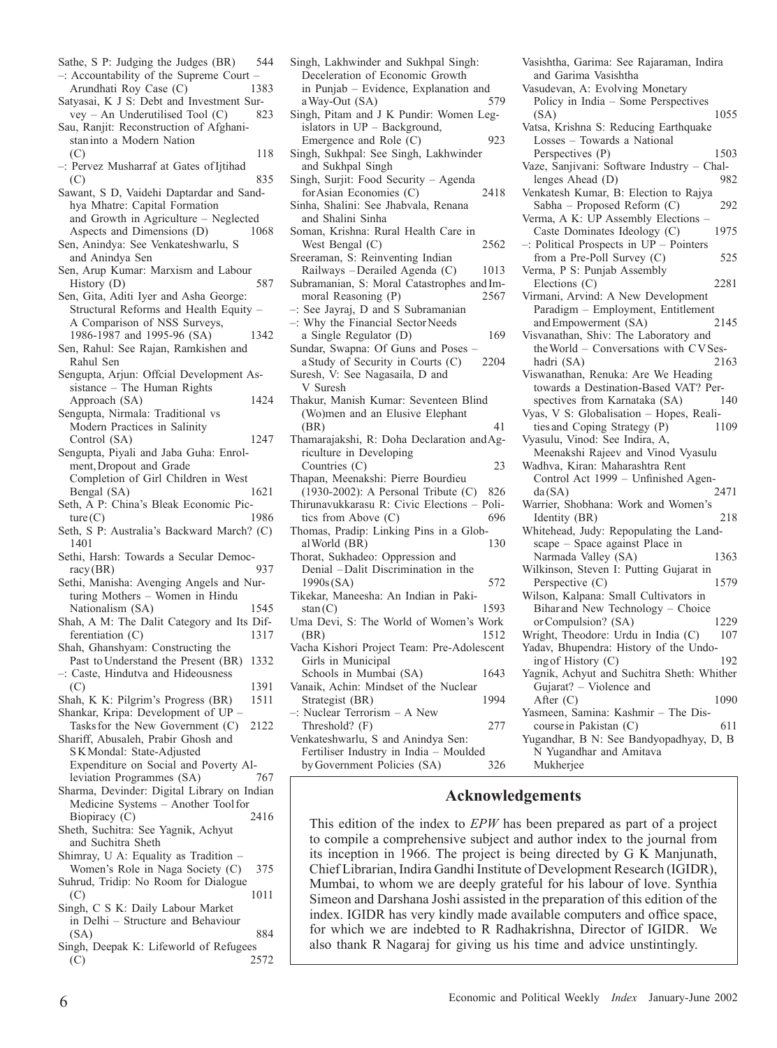–: Accountability of the Supreme Court –<br>Arundhati Roy Case (C) 1383 Arundhati Roy Case (C) 1383 Satyasai, K J S: Debt and Investment Survey – An Underutilised Tool (C) 823  $vey - An Underutilised Tool (C)$ Sau, Ranjit: Reconstruction of Afghanistaninto a Modern Nation  $(C)$  118 –: Pervez Musharraf at Gates ofIjtihad  $(C)$  835 Sawant, S D, Vaidehi Daptardar and Sandhya Mhatre: Capital Formation and Growth in Agriculture – Neglected Aspects and Dimensions (D) 1068 Sen, Anindya: See Venkateshwarlu, S and Anindya Sen Sen, Arup Kumar: Marxism and Labour History (D) 587 Sen, Gita, Aditi Iyer and Asha George: Structural Reforms and Health Equity – A Comparison of NSS Surveys, 1986-1987 and 1995-96 (SA) 1342 Sen, Rahul: See Rajan, Ramkishen and Rahul Sen Sengupta, Arjun: Offcial Development Assistance – The Human Rights Approach (SA) 1424 Sengupta, Nirmala: Traditional vs Modern Practices in Salinity Control (SA) 1247 Sengupta, Piyali and Jaba Guha: Enrolment,Dropout and Grade Completion of Girl Children in West<br>Bengal (SA) 1621 Bengal (SA) Seth,  $\overline{A}$  P: China's Bleak Economic Pic-<br>ture (C) 1986  $ture(C)$ Seth, S P: Australia's Backward March? (C) 1401 Sethi, Harsh: Towards a Secular Democ-<br>racy (BR) 937  $rac{\text{racy}}{\text{BR}}$ Sethi, Manisha: Avenging Angels and Nurturing Mothers – Women in Hindu Nationalism (SA) 1545 Shah, A M: The Dalit Category and Its Differentiation (C) 1317 Shah, Ghanshyam: Constructing the Past to Understand the Present (BR) 1332 –: Caste, Hindutva and Hideousness (C) 1391 Shah, K K: Pilgrim's Progress (BR) 1511 Shankar, Kripa: Development of UP – Tasks for the New Government (C) 2122 Shariff, Abusaleh, Prabir Ghosh and SKMondal: State-Adjusted Expenditure on Social and Poverty Alleviation Programmes (SA) 767 Sharma, Devinder: Digital Library on Indian Medicine Systems – Another Toolfor Biopiracy (C) 2416 Sheth, Suchitra: See Yagnik, Achyut and Suchitra Sheth Shimray, U A: Equality as Tradition – Women's Role in Naga Society (C) 375 Suhrud, Tridip: No Room for Dialogue  $(C)$  1011 Singh, C S K: Daily Labour Market in Delhi – Structure and Behaviour (SA) 884 Singh, Deepak K: Lifeworld of Refugees (C) 2572

Sathe, S P: Judging the Judges (BR) 544

- Singh, Lakhwinder and Sukhpal Singh: Deceleration of Economic Growth in Punjab – Evidence, Explanation and<br>a Wav-Out (SA) 579 a Way-Out (SA) Singh, Pitam and J K Pundir: Women Legislators in UP – Background, Emergence and Role (C) 923 Singh, Sukhpal: See Singh, Lakhwinder and Sukhpal Singh Singh, Surjit: Food Security – Agenda forAsian Economies (C) 2418 Sinha, Shalini: See Jhabvala, Renana and Shalini Sinha Soman, Krishna: Rural Health Care in West Bengal (C) 2562 Sreeraman, S: Reinventing Indian Railways – Derailed Agenda (C) 1013 Subramanian, S: Moral Catastrophes and Immoral Reasoning (P) 2567 –: See Jayraj, D and S Subramanian –: Why the Financial SectorNeeds a Single Regulator (D) 169 Sundar, Swapna: Of Guns and Poses –<br>a Study of Security in Courts (C) 2204 a Study of Security in Courts (C) Suresh, V: See Nagasaila, D and V Suresh Thakur, Manish Kumar: Seventeen Blind (Wo)men and an Elusive Elephant (BR) 41 Thamarajakshi, R: Doha Declaration andAgriculture in Developing Countries (C) 23 Thapan, Meenakshi: Pierre Bourdieu (1930-2002): A Personal Tribute (C) 826 Thirunavukkarasu R: Civic Elections – Politics from Above  $(C)$ Thomas, Pradip: Linking Pins in a Global World (BR) Thorat, Sukhadeo: Oppression and Denial –Dalit Discrimination in the 1990s(SA) 572 Tikekar, Maneesha: An Indian in Pakistan(C) 1593 Uma Devi, S: The World of Women's Work (BR) 1512 Vacha Kishori Project Team: Pre-Adolescent Girls in Municipal Schools in Mumbai (SA) 1643 Vanaik, Achin: Mindset of the Nuclear Strategist (BR) 1994 –: Nuclear Terrorism – A New Threshold? (F) 277 Venkateshwarlu, S and Anindya Sen: Fertiliser Industry in India – Moulded byGovernment Policies (SA) 326
- Vasishtha, Garima: See Rajaraman, Indira and Garima Vasishtha Vasudevan, A: Evolving Monetary Policy in India – Some Perspectives (SA) 1055 Vatsa, Krishna S: Reducing Earthquake Losses – Towards a National Perspectives (P) 1503 Vaze, Sanjivani: Software Industry – Challenges Ahead (D) 982 Venkatesh Kumar, B: Election to Rajya Sabha – Proposed Reform (C) 292 Verma, A K: UP Assembly Elections – Caste Dominates Ideology (C) 1975 –: Political Prospects in UP – Pointers from a Pre-Poll Survey (C) 525 Verma, P S: Punjab Assembly Elections (C) 2281 Virmani, Arvind: A New Development Paradigm – Employment, Entitlement and Empowerment (SA) Visvanathan, Shiv: The Laboratory and theWorld – Conversations with CVSeshadri (SA) 2163 Viswanathan, Renuka: Are We Heading towards a Destination-Based VAT? Perspectives from Karnataka (SA) 140 Vyas, V S: Globalisation – Hopes, Realities and Coping Strategy (P) 1109 ties and Coping Strategy (P) Vyasulu, Vinod: See Indira, A, Meenakshi Rajeev and Vinod Vyasulu Wadhva, Kiran: Maharashtra Rent Control Act 1999 – Unfinished Agen-<br>da(SA) 2471  $da(SA)$ Warrier, Shobhana: Work and Women's Identity (BR) 218 Whitehead, Judy: Repopulating the Landscape – Space against Place in Narmada Valley (SA) 1363 Wilkinson, Steven I: Putting Gujarat in<br>Perspective (C) 1579 Perspective  $(C)$ Wilson, Kalpana: Small Cultivators in Bihar and New Technology – Choice<br>or Compulsion? (SA) 1229 or Compulsion? (SA) Wright, Theodore: Urdu in India (C) 107 Yadav, Bhupendra: History of the Undoing of History (C) 192 Yagnik, Achyut and Suchitra Sheth: Whither Gujarat? – Violence and After (C) 1090 Yasmeen, Samina: Kashmir – The Discourse in Pakistan (C) 611 Yugandhar, B N: See Bandyopadhyay, D, B N Yugandhar and Amitava Mukherjee

## **Acknowledgements**

This edition of the index to *EPW* has been prepared as part of a project to compile a comprehensive subject and author index to the journal from its inception in 1966. The project is being directed by G K Manjunath, Chief Librarian, Indira Gandhi Institute of Development Research (IGIDR), Mumbai, to whom we are deeply grateful for his labour of love. Synthia Simeon and Darshana Joshi assisted in the preparation of this edition of the index. IGIDR has very kindly made available computers and office space, for which we are indebted to R Radhakrishna, Director of IGIDR. We also thank R Nagaraj for giving us his time and advice unstintingly.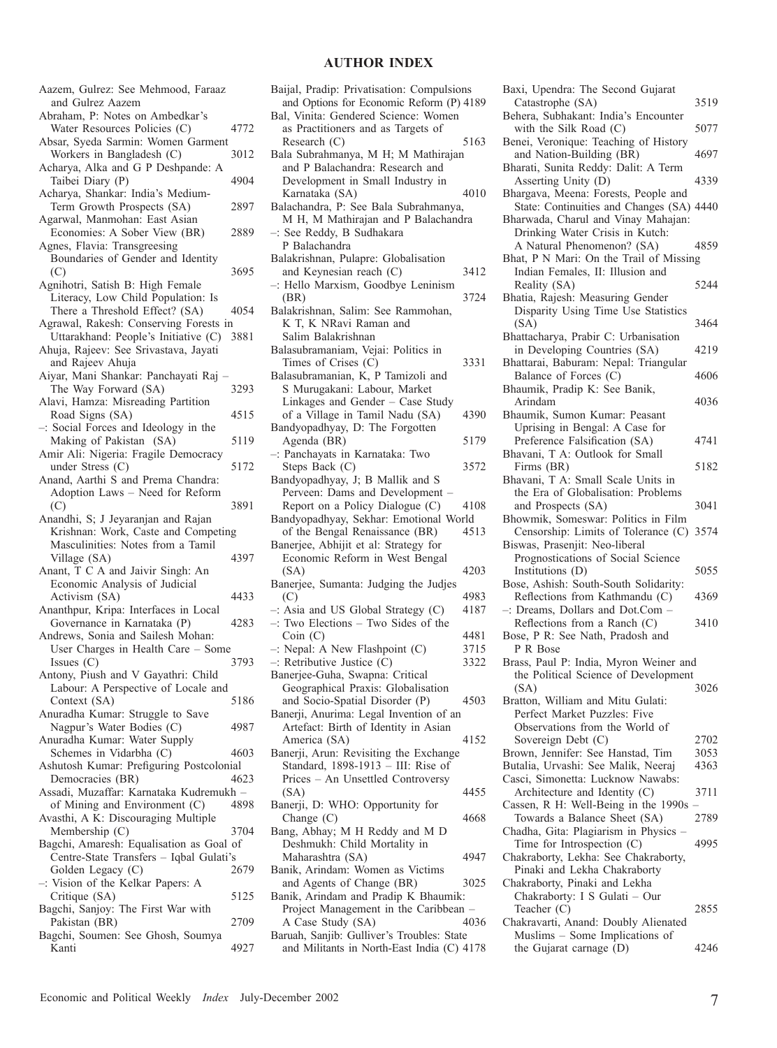## **AUTHOR INDEX**

| Aazem, Gulrez: See Mehmood, Faraaz                                            |      |
|-------------------------------------------------------------------------------|------|
| and Gulrez Aazem<br>Abraham, P: Notes on Ambedkar's                           |      |
| Water Resources Policies (C)                                                  | 4772 |
| Absar, Syeda Sarmin: Women Garment<br>Workers in Bangladesh (C)               | 3012 |
| Acharya, Alka and G P Deshpande: A                                            |      |
| Taibei Diary (P)<br>Acharya, Shankar: India's Medium-                         | 4904 |
| Term Growth Prospects (SA)                                                    | 2897 |
| Agarwal, Manmohan: East Asian<br>Economies: A Sober View (BR)                 | 2889 |
| Agnes, Flavia: Transgreesing                                                  |      |
| Boundaries of Gender and Identity<br>(C)                                      | 3695 |
| Agnihotri, Satish B: High Female                                              |      |
| Literacy, Low Child Population: Is<br>There a Threshold Effect? (SA)          | 4054 |
| Agrawal, Rakesh: Conserving Forests in                                        |      |
| Uttarakhand: People's Initiative (C)<br>Ahuja, Rajeev: See Srivastava, Jayati | 3881 |
| and Rajeev Ahuja                                                              |      |
| Aiyar, Mani Shankar: Panchayati Raj<br>The Way Forward (SA)                   | 3293 |
| Alavi, Hamza: Misreading Partition                                            | 4515 |
| Road Signs (SA)<br>-: Social Forces and Ideology in the                       |      |
| Making of Pakistan (SA)<br>Amir Ali: Nigeria: Fragile Democracy               | 5119 |
| under Stress (C)                                                              | 5172 |
| Anand, Aarthi S and Prema Chandra:<br>Adoption Laws - Need for Reform         |      |
| (C)                                                                           | 3891 |
| Anandhi, S; J Jeyaranjan and Rajan<br>Krishnan: Work, Caste and Competing     |      |
|                                                                               |      |
| Masculinities: Notes from a Tamil                                             |      |
| Village (SA)                                                                  | 4397 |
| Anant, T C A and Jaivir Singh: An<br>Economic Analysis of Judicial            |      |
| Activism (SA)                                                                 | 4433 |
| Ananthpur, Kripa: Interfaces in Local<br>Governance in Karnataka (P)          | 4283 |
| Andrews, Sonia and Sailesh Mohan:                                             |      |
| User Charges in Health Care - Some<br>Issues $(C)$                            | 3793 |
| Antony, Piush and V Gayathri: Child                                           |      |
| Labour: A Perspective of Locale and<br>Context (SA)                           | 5186 |
| Anuradha Kumar: Struggle to Save                                              | 4987 |
| Nagpur's Water Bodies (C)<br>Anuradha Kumar: Water Supply                     |      |
| Schemes in Vidarbha (C)                                                       | 4603 |
| Ashutosh Kumar: Prefiguring Postcolonial<br>Democracies (BR)                  | 4623 |
| Assadi, Muzaffar: Karnataka Kudremukh -<br>of Mining and Environment (C)      | 4898 |
| Avasthi, A K: Discouraging Multiple                                           |      |
| Membership (C)<br>Bagchi, Amaresh: Equalisation as Goal of                    | 3704 |
| Centre-State Transfers - Iqbal Gulati's                                       |      |
| Golden Legacy (C)<br>-: Vision of the Kelkar Papers: A                        | 2679 |
| Critique (SA)                                                                 | 5125 |
| Bagchi, Sanjoy: The First War with<br>Pakistan (BR)                           | 2709 |
| Bagchi, Soumen: See Ghosh, Soumya<br>Kanti                                    | 4927 |

| Baijal, Pradip: Privatisation: Compulsions<br>and Options for Economic Reform (P) 4189<br>Bal, Vinita: Gendered Science: Women |      |
|--------------------------------------------------------------------------------------------------------------------------------|------|
| as Practitioners and as Targets of<br>Research $(C)$<br>Bala Subrahmanya, M H; M Mathirajan                                    | 5163 |
| and P Balachandra: Research and                                                                                                |      |
| Development in Small Industry in                                                                                               |      |
| Karnataka (SA)<br>Balachandra, P: See Bala Subrahmanya,                                                                        | 4010 |
| M H, M Mathirajan and P Balachandra                                                                                            |      |
| -: See Reddy, B Sudhakara                                                                                                      |      |
| P Balachandra<br>Balakrishnan, Pulapre: Globalisation                                                                          |      |
| and Keynesian reach (C)                                                                                                        | 3412 |
| -: Hello Marxism, Goodbye Leninism                                                                                             |      |
| (BR)                                                                                                                           | 3724 |
| Balakrishnan, Salim: See Rammohan,<br>K T, K NRavi Raman and<br>Salim Balakrishnan                                             |      |
| Balasubramaniam, Vejai: Politics in                                                                                            |      |
| Times of Crises (C)                                                                                                            | 3331 |
| Balasubramanian, K, P Tamizoli and<br>S Murugakani: Labour, Market                                                             |      |
| Linkages and Gender - Case Study                                                                                               |      |
| of a Village in Tamil Nadu (SA)                                                                                                | 4390 |
| Bandyopadhyay, D: The Forgotten                                                                                                |      |
| Agenda (BR)<br>-: Panchayats in Karnataka: Two                                                                                 | 5179 |
| Steps Back (C)                                                                                                                 | 3572 |
| Bandyopadhyay, J; B Mallik and S                                                                                               |      |
| Perveen: Dams and Development -                                                                                                |      |
| Report on a Policy Dialogue (C)<br>Bandyopadhyay, Sekhar: Emotional World                                                      | 4108 |
| of the Bengal Renaissance (BR)                                                                                                 | 4513 |
| Banerjee, Abhijit et al: Strategy for                                                                                          |      |
| Economic Reform in West Bengal<br>(SA)                                                                                         | 4203 |
| Banerjee, Sumanta: Judging the Judjes                                                                                          |      |
| (C)                                                                                                                            | 4983 |
| $-$ : Asia and US Global Strategy (C)<br>-: Two Elections - Two Sides of the                                                   | 4187 |
| Coin(C)                                                                                                                        | 4481 |
| -: Nepal: A New Flashpoint (C)                                                                                                 | 3715 |
| $-$ : Retributive Justice (C)                                                                                                  | 3322 |
| Banerjee-Guha, Swapna: Critical<br>Geographical Praxis: Globalisation                                                          |      |
| and Socio-Spatial Disorder (P)                                                                                                 | 4503 |
| Banerji, Anurima: Legal Invention of an                                                                                        |      |
| Artefact: Birth of Identity in Asian<br>America (SA)                                                                           | 4152 |
| Banerji, Arun: Revisiting the Exchange                                                                                         |      |
| Standard, 1898-1913 - III: Rise of                                                                                             |      |
| Prices – An Unsettled Controversy                                                                                              |      |
| (SA)<br>Banerji, D: WHO: Opportunity for                                                                                       | 4455 |
| Change $(C)$                                                                                                                   | 4668 |
| Bang, Abhay; M H Reddy and M D                                                                                                 |      |
| Deshmukh: Child Mortality in<br>Maharashtra (SA)                                                                               | 4947 |
| Banik, Arindam: Women as Victims                                                                                               |      |
| and Agents of Change (BR)                                                                                                      | 3025 |
| Banik, Arindam and Pradip K Bhaumik:                                                                                           |      |
| Project Management in the Caribbean<br>A Case Study (SA)                                                                       | 4036 |
| Baruah, Sanjib: Gulliver's Troubles: State                                                                                     |      |
| and Militants in North-East India (C) 4178                                                                                     |      |

| Baxi, Upendra: The Second Gujarat                                     |      |
|-----------------------------------------------------------------------|------|
| Catastrophe (SA)                                                      | 3519 |
| Behera, Subhakant: India's Encounter                                  |      |
| with the Silk Road (C)                                                | 5077 |
| Benei, Veronique: Teaching of History                                 |      |
| and Nation-Building (BR)                                              | 4697 |
| Bharati, Sunita Reddy: Dalit: A Term                                  |      |
| Asserting Unity (D)                                                   | 4339 |
| Bhargava, Meena: Forests, People and                                  |      |
| State: Continuities and Changes (SA) 4440                             |      |
| Bharwada, Charul and Vinay Mahajan:                                   |      |
| Drinking Water Crisis in Kutch:                                       | 4859 |
| A Natural Phenomenon? (SA)<br>Bhat, P N Mari: On the Trail of Missing |      |
| Indian Females, II: Illusion and                                      |      |
| Reality (SA)                                                          | 5244 |
| Bhatia, Rajesh: Measuring Gender                                      |      |
| Disparity Using Time Use Statistics                                   |      |
| (SA)                                                                  | 3464 |
| Bhattacharya, Prabir C: Urbanisation                                  |      |
| in Developing Countries (SA)                                          | 4219 |
| Bhattarai, Baburam: Nepal: Triangular                                 |      |
| Balance of Forces (C)                                                 | 4606 |
| Bhaumik, Pradip K: See Banik,                                         |      |
| Arindam                                                               | 4036 |
| Bhaumik, Sumon Kumar: Peasant                                         |      |
| Uprising in Bengal: A Case for                                        |      |
| Preference Falsification (SA)                                         | 4741 |
| Bhavani, T A: Outlook for Small                                       |      |
| Firms (BR)                                                            | 5182 |
| Bhavani, T A: Small Scale Units in                                    |      |
| the Era of Globalisation: Problems                                    |      |
| and Prospects (SA)                                                    | 3041 |
| Bhowmik, Someswar: Politics in Film                                   |      |
| Censorship: Limits of Tolerance (C)                                   | 3574 |
| Biswas, Prasenjit: Neo-liberal                                        |      |
| Prognostications of Social Science                                    |      |
| Institutions (D)                                                      | 5055 |
| Bose, Ashish: South-South Solidarity:                                 |      |
| Reflections from Kathmandu (C)                                        | 4369 |
| -: Dreams, Dollars and Dot.Com -                                      |      |
| Reflections from a Ranch (C)                                          | 3410 |
| Bose, P R: See Nath, Pradosh and                                      |      |
| P R Bose                                                              |      |
| Brass, Paul P: India, Myron Weiner and                                |      |
| the Political Science of Development<br>(SA)                          | 3026 |
| Bratton, William and Mitu Gulati:                                     |      |
| Perfect Market Puzzles: Five                                          |      |
| Observations from the World of                                        |      |
| Sovereign Debt (C)                                                    | 2702 |
| Brown, Jennifer: See Hanstad, Tim                                     | 3053 |
| Butalia, Urvashi: See Malik, Neeraj                                   | 4363 |
| Casci, Simonetta: Lucknow Nawabs:                                     |      |
| Architecture and Identity (C)                                         | 3711 |
| Cassen, R H: Well-Being in the 1990s                                  |      |
| Towards a Balance Sheet (SA)                                          | 2789 |
| Chadha, Gita: Plagiarism in Physics -                                 |      |
| Time for Introspection $(C)$                                          | 4995 |
| Chakraborty, Lekha: See Chakraborty,                                  |      |
| Pinaki and Lekha Chakraborty                                          |      |
| Chakraborty, Pinaki and Lekha                                         |      |
| Chakraborty: I S Gulati - Our                                         |      |
| Teacher (C)                                                           | 2855 |
| Chakravarti, Anand: Doubly Alienated                                  |      |
| Muslims – Some Implications of                                        |      |
| the Gujarat carnage (D)                                               | 4246 |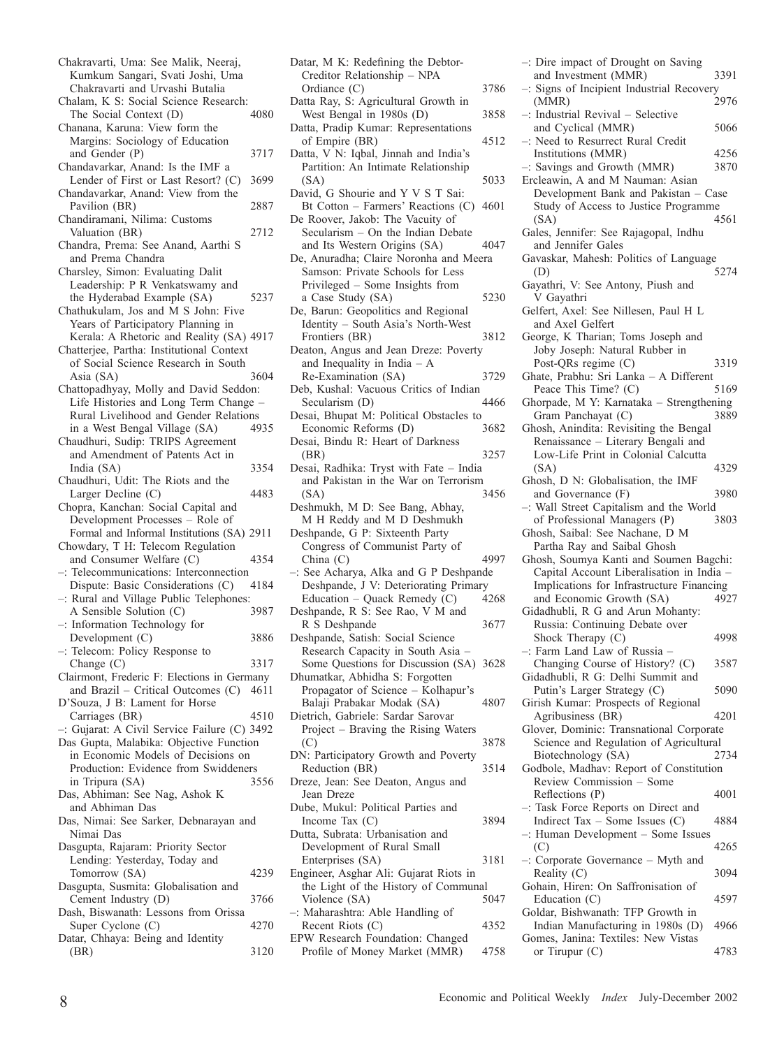Chakravarti, Uma: See Malik, Neeraj, Kumkum Sangari, Svati Joshi, Uma Chakravarti and Urvashi Butalia Chalam, K S: Social Science Research:<br>The Social Context (D) 4080 The Social Context (D) Chanana, Karuna: View form the Margins: Sociology of Education and Gender (P) 3717 Chandavarkar, Anand: Is the IMF a Lender of First or Last Resort? (C) 3699 Chandavarkar, Anand: View from the Pavilion (BR) 2887 Chandiramani, Nilima: Customs Valuation (BR) 2712 Chandra, Prema: See Anand, Aarthi S and Prema Chandra Charsley, Simon: Evaluating Dalit Leadership: P R Venkatswamy and the Hyderabad Example (SA) 5237 Chathukulam, Jos and M S John: Five Years of Participatory Planning in Kerala: A Rhetoric and Reality (SA) 4917 Chatterjee, Partha: Institutional Context of Social Science Research in South Asia (SA) 3604 Chattopadhyay, Molly and David Seddon: Life Histories and Long Term Change – Rural Livelihood and Gender Relations in a West Bengal Village (SA) 4935 Chaudhuri, Sudip: TRIPS Agreement and Amendment of Patents Act in India (SA) 3354 Chaudhuri, Udit: The Riots and the Larger Decline (C) 4483 Chopra, Kanchan: Social Capital and Development Processes – Role of Formal and Informal Institutions (SA) 2911 Chowdary, T H: Telecom Regulation and Consumer Welfare (C) 4354 Telecommunications: Interconnection<br>Dispute: Basic Considerations (C) 4184 Dispute: Basic Considerations (C) –: Rural and Village Public Telephones: A Sensible Solution (C) 3987 –: Information Technology for Development (C) 3886 –: Telecom: Policy Response to Change (C) 3317 Clairmont, Frederic F: Elections in Germany and Brazil – Critical Outcomes (C) 4611 D'Souza, J B: Lament for Horse Carriages (BR) 4510 –: Gujarat: A Civil Service Failure (C) 3492 Das Gupta, Malabika: Objective Function in Economic Models of Decisions on Production: Evidence from Swiddeners in Tripura (SA) 3556 Das, Abhiman: See Nag, Ashok K and Abhiman Das Das, Nimai: See Sarker, Debnarayan and Nimai Das Dasgupta, Rajaram: Priority Sector Lending: Yesterday, Today and Tomorrow (SA) 4239 Dasgupta, Susmita: Globalisation and Cement Industry (D) 3766 Dash, Biswanath: Lessons from Orissa Super Cyclone (C) 4270 Datar, Chhaya: Being and Identity (BR) 3120

| Duun,<br>in it. iteaching the <i>B</i> ebton<br>Creditor Relationship - NPA |      |
|-----------------------------------------------------------------------------|------|
| Ordiance (C)                                                                | 3786 |
| Datta Ray, S: Agricultural Growth in                                        |      |
| West Bengal in 1980s (D)                                                    | 3858 |
| Datta, Pradip Kumar: Representations                                        |      |
| of Empire (BR)                                                              | 4512 |
| Datta, V N: Iqbal, Jinnah and India's                                       |      |
| Partition: An Intimate Relationship                                         |      |
| (SA)                                                                        | 5033 |
| David, G Shourie and Y V S T Sai:                                           |      |
| Bt Cotton - Farmers' Reactions (C)                                          | 4601 |
| De Roover, Jakob: The Vacuity of<br>Secularism - On the Indian Debate       |      |
| and Its Western Origins (SA)                                                | 4047 |
| De, Anuradha; Claire Noronha and Meera                                      |      |
| Samson: Private Schools for Less                                            |      |
| Privileged - Some Insights from                                             |      |
| a Case Study (SA)                                                           | 5230 |
| De, Barun: Geopolitics and Regional                                         |      |
| Identity - South Asia's North-West                                          |      |
| Frontiers (BR)                                                              | 3812 |
| Deaton, Angus and Jean Dreze: Poverty                                       |      |
| and Inequality in India $- A$                                               |      |
| Re-Examination (SA)<br>Deb, Kushal: Vacuous Critics of Indian               | 3729 |
| Secularism (D)                                                              | 4466 |
| Desai, Bhupat M: Political Obstacles to                                     |      |
| Economic Reforms (D)                                                        | 3682 |
| Desai, Bindu R: Heart of Darkness                                           |      |
| (BR)                                                                        | 3257 |
| Desai, Radhika: Tryst with Fate - India                                     |      |
| and Pakistan in the War on Terrorism                                        |      |
| (SA)                                                                        | 3456 |
| Deshmukh, M D: See Bang, Abhay,                                             |      |
| M H Reddy and M D Deshmukh<br>Deshpande, G P: Sixteenth Party               |      |
| Congress of Communist Party of                                              |      |
| China $(C)$                                                                 | 4997 |
| -: See Acharya, Alka and G P Deshpande                                      |      |
| Deshpande, J V: Deteriorating Primary                                       |      |
| Education - Quack Remedy $(C)$                                              | 4268 |
| Deshpande, R S: See Rao, V M and                                            |      |
| R S Deshpande                                                               | 3677 |
| Deshpande, Satish: Social Science                                           |      |
| Research Capacity in South Asia -                                           |      |
| Some Questions for Discussion (SA) 3628                                     |      |
| Dhumatkar, Abhidha S: Forgotten<br>Propagator of Science - Kolhapur's       |      |
| Balaji Prabakar Modak (SA)                                                  | 4807 |
| Dietrich, Gabriele: Sardar Sarovar                                          |      |
| Project - Braving the Rising Waters                                         |      |
| (C)                                                                         | 3878 |
| DN: Participatory Growth and Poverty                                        |      |
| Reduction (BR)                                                              |      |
| Dreze, Jean: See Deaton, Angus and                                          | 3514 |
|                                                                             |      |
| Jean Dreze                                                                  |      |
| Dube, Mukul: Political Parties and                                          |      |
| Income Tax (C)                                                              | 3894 |
| Dutta, Subrata: Urbanisation and                                            |      |
| Development of Rural Small                                                  | 3181 |
| Enterprises (SA)<br>Engineer, Asghar Ali: Gujarat Riots in                  |      |
| the Light of the History of Communal                                        |      |
| Violence (SA)                                                               | 5047 |
| -: Maharashtra: Able Handling of                                            |      |
| Recent Riots (C)                                                            | 4352 |
| EPW Research Foundation: Changed<br>Profile of Money Market (MMR)           | 4758 |

Datar, M. K.; Redefining the Debtor

| -: Dire impact of Drought on Saving                                |      |
|--------------------------------------------------------------------|------|
| and Investment (MMR)                                               | 3391 |
| -: Signs of Incipient Industrial Recovery                          |      |
| (MMR)                                                              | 2976 |
| -: Industrial Revival - Selective<br>and Cyclical (MMR)            | 5066 |
| -: Need to Resurrect Rural Credit                                  |      |
| Institutions (MMR)                                                 | 4256 |
| -: Savings and Growth (MMR)                                        | 3870 |
| Ercleawin, A and M Nauman: Asian                                   |      |
| Development Bank and Pakistan - Case                               |      |
| Study of Access to Justice Programme                               |      |
| (SA)                                                               | 4561 |
| Gales, Jennifer: See Rajagopal, Indhu                              |      |
| and Jennifer Gales                                                 |      |
| Gavaskar, Mahesh: Politics of Language                             |      |
| (D)                                                                | 5274 |
| Gayathri, V: See Antony, Piush and                                 |      |
| V Gayathri<br>Gelfert, Axel: See Nillesen, Paul H L                |      |
| and Axel Gelfert                                                   |      |
| George, K Tharian; Toms Joseph and                                 |      |
| Joby Joseph: Natural Rubber in                                     |      |
| Post-QRs regime (C)                                                | 3319 |
| Ghate, Prabhu: Sri Lanka - A Different                             |      |
| Peace This Time? (C)                                               | 5169 |
| Ghorpade, M Y: Karnataka - Strengthening                           |      |
| Gram Panchayat (C)                                                 | 3889 |
| Ghosh, Anindita: Revisiting the Bengal                             |      |
| Renaissance - Literary Bengali and                                 |      |
| Low-Life Print in Colonial Calcutta                                |      |
| (SA)                                                               | 4329 |
| Ghosh, D N: Globalisation, the IMF<br>and Governance (F)           | 3980 |
| -: Wall Street Capitalism and the World                            |      |
| of Professional Managers (P)                                       | 3803 |
|                                                                    |      |
|                                                                    |      |
| Ghosh, Saibal: See Nachane, D M<br>Partha Ray and Saibal Ghosh     |      |
| Ghosh, Soumya Kanti and Soumen Bagchi:                             |      |
| Capital Account Liberalisation in India -                          |      |
| Implications for Infrastructure Financing                          |      |
| and Economic Growth (SA)                                           | 4927 |
| Gidadhubli, R G and Arun Mohanty:                                  |      |
| Russia: Continuing Debate over                                     |      |
| Shock Therapy (C)                                                  | 4998 |
| -: Farm Land Law of Russia                                         |      |
| Changing Course of History? (C)                                    | 3587 |
| Gidadhubli, R G: Delhi Summit and                                  | 5090 |
| Putin's Larger Strategy (C)<br>Girish Kumar: Prospects of Regional |      |
| Agribusiness (BR)                                                  | 4201 |
| Glover, Dominic: Transnational Corporate                           |      |
| Science and Regulation of Agricultural                             |      |
| Biotechnology (SA)                                                 | 2734 |
| Godbole, Madhav: Report of Constitution                            |      |
| Review Commission - Some                                           |      |
| Reflections (P)                                                    | 4001 |
| -: Task Force Reports on Direct and                                |      |
| Indirect Tax $-$ Some Issues (C)                                   | 4884 |
| $-$ : Human Development $-$ Some Issues                            | 4265 |
| (C)<br>-: Corporate Governance - Myth and                          |      |
| Reality (C)                                                        | 3094 |
| Gohain, Hiren: On Saffronisation of                                |      |
| Education (C)                                                      | 4597 |
| Goldar, Bishwanath: TFP Growth in                                  |      |
| Indian Manufacturing in 1980s (D)                                  | 4966 |
| Gomes, Janina: Textiles: New Vistas<br>or Tirupur $(C)$            | 4783 |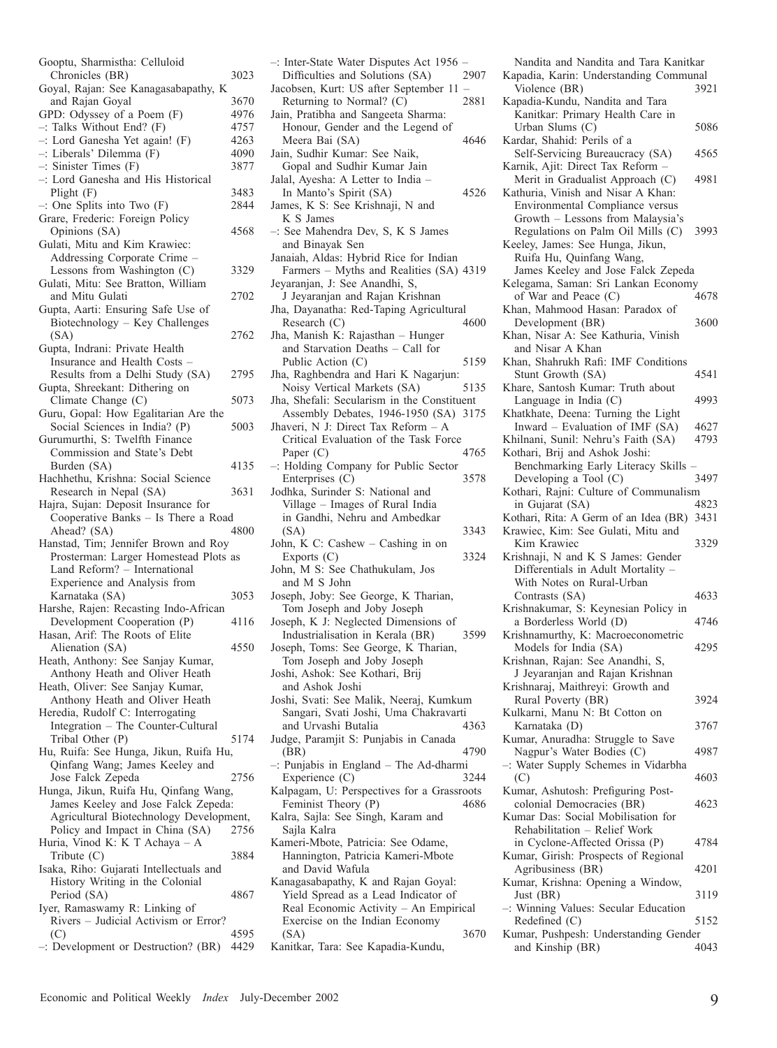| Gooptu, Sharmistha: Celluloid                                       |              |
|---------------------------------------------------------------------|--------------|
| Chronicles (BR)                                                     | 3023         |
| Goyal, Rajan: See Kanagasabapathy, K                                |              |
| and Rajan Goyal                                                     | 3670         |
| GPD: Odyssey of a Poem (F)                                          | 4976         |
| $-$ : Talks Without End? (F)                                        | 4757         |
| -: Lord Ganesha Yet again! (F)                                      | 4263         |
| -: Liberals' Dilemma (F)                                            | 4090         |
| $-$ : Sinister Times $(F)$                                          | 3877         |
| -: Lord Ganesha and His Historical                                  |              |
| Plight $(F)$<br>$-$ : One Splits into Two $(F)$                     | 3483<br>2844 |
| Grare, Frederic: Foreign Policy                                     |              |
| Opinions (SA)                                                       | 4568         |
| Gulati, Mitu and Kim Krawiec:                                       |              |
| Addressing Corporate Crime                                          |              |
| Lessons from Washington (C)                                         | 3329         |
| Gulati, Mitu: See Bratton, William                                  |              |
| and Mitu Gulati                                                     | 2702         |
| Gupta, Aarti: Ensuring Safe Use of                                  |              |
| Biotechnology - Key Challenges                                      |              |
| (SA)                                                                | 2762         |
| Gupta, Indrani: Private Health                                      |              |
| Insurance and Health Costs -                                        |              |
| Results from a Delhi Study (SA)                                     | 2795         |
| Gupta, Shreekant: Dithering on                                      |              |
| Climate Change (C)                                                  | 5073         |
| Guru, Gopal: How Egalitarian Are the                                |              |
| Social Sciences in India? (P)                                       | 5003         |
| Gurumurthi, S: Twelfth Finance                                      |              |
| Commission and State's Debt                                         |              |
| Burden (SA)                                                         | 4135         |
| Hachhethu, Krishna: Social Science                                  |              |
| Research in Nepal (SA)                                              | 3631         |
|                                                                     |              |
| Hajra, Sujan: Deposit Insurance for                                 |              |
| Cooperative Banks - Is There a Road                                 |              |
| Ahead? (SA)                                                         | 4800         |
| Hanstad, Tim; Jennifer Brown and Roy                                |              |
| Prosterman: Larger Homestead Plots as                               |              |
| Land Reform? - International                                        |              |
| Experience and Analysis from                                        |              |
| Karnataka (SA)                                                      | 3053         |
| Harshe, Rajen: Recasting Indo-African                               | 4116         |
| Development Cooperation (P)<br>Hasan, Arif: The Roots of Elite      |              |
| Alienation (SA)                                                     | 4550         |
|                                                                     |              |
| Heath, Anthony: See Sanjay Kumar,<br>Anthony Heath and Oliver Heath |              |
| Heath, Oliver: See Sanjay Kumar,                                    |              |
| Anthony Heath and Oliver Heath                                      |              |
| Heredia, Rudolf C: Interrogating                                    |              |
| Integration - The Counter-Cultural                                  |              |
| Tribal Other (P)                                                    | 5174         |
| Hu, Ruifa: See Hunga, Jikun, Ruifa Hu,                              |              |
| Qinfang Wang; James Keeley and                                      |              |
| Jose Falck Zepeda                                                   | 2756         |
| Hunga, Jikun, Ruifa Hu, Qinfang Wang,                               |              |
| James Keeley and Jose Falck Zepeda:                                 |              |
| Agricultural Biotechnology Development,                             |              |
| Policy and Impact in China (SA)                                     | 2756         |
| Huria, Vinod K: K T Achaya - A                                      |              |
| Tribute $(C)$                                                       | 3884         |
| Isaka, Riho: Gujarati Intellectuals and                             |              |
| History Writing in the Colonial                                     | 4867         |
| Period (SA)                                                         |              |
| Iyer, Ramaswamy R: Linking of                                       |              |
| Rivers - Judicial Activism or Error?<br>(C)                         | 4595         |

| -: Inter-State Water Disputes Act 1956                                  |                |
|-------------------------------------------------------------------------|----------------|
| Difficulties and Solutions (SA)                                         | 2907           |
| Jacobsen, Kurt: US after September 11                                   | $\overline{a}$ |
| Returning to Normal? (C)                                                | 2881           |
| Jain, Pratibha and Sangeeta Sharma:                                     |                |
| Honour, Gender and the Legend of<br>Meera Bai (SA)                      | 4646           |
| Jain, Sudhir Kumar: See Naik,                                           |                |
| Gopal and Sudhir Kumar Jain                                             |                |
| Jalal, Ayesha: A Letter to India -                                      |                |
| In Manto's Spirit (SA)                                                  | 4526           |
| James, K S: See Krishnaji, N and                                        |                |
| K S James                                                               |                |
| -: See Mahendra Dev, S, K S James                                       |                |
| and Binayak Sen                                                         |                |
| Janaiah, Aldas: Hybrid Rice for Indian                                  |                |
| Farmers - Myths and Realities (SA) 4319                                 |                |
| Jeyaranjan, J: See Anandhi, S,<br>J Jeyaranjan and Rajan Krishnan       |                |
| Jha, Dayanatha: Red-Taping Agricultural                                 |                |
| Research (C)                                                            | 4600           |
| Jha, Manish K: Rajasthan - Hunger                                       |                |
| and Starvation Deaths - Call for                                        |                |
| Public Action (C)                                                       | 5159           |
| Jha, Raghbendra and Hari K Nagarjun:                                    |                |
| Noisy Vertical Markets (SA)                                             | 5135           |
| Jha, Shefali: Secularism in the Constituent                             |                |
| Assembly Debates, 1946-1950 (SA)                                        | 3175           |
| Jhaveri, N J: Direct Tax Reform - A                                     |                |
| Critical Evaluation of the Task Force                                   |                |
| Paper $(C)$<br>-: Holding Company for Public Sector                     | 4765           |
| Enterprises (C)                                                         | 3578           |
| Jodhka, Surinder S: National and                                        |                |
| Village - Images of Rural India                                         |                |
| in Gandhi, Nehru and Ambedkar                                           |                |
| (SA)                                                                    | 3343           |
| John, K C: Cashew - Cashing in on                                       |                |
| Exports (C)                                                             | 3324           |
| John, M S: See Chathukulam, Jos                                         |                |
| and M S John                                                            |                |
| Joseph, Joby: See George, K Tharian,<br>Tom Joseph and Joby Joseph      |                |
| Joseph, K J: Neglected Dimensions of                                    |                |
| Industrialisation in Kerala (BR)                                        | 3599           |
| Joseph, Toms: See George, K Tharian,                                    |                |
| Tom Joseph and Joby Joseph                                              |                |
| Joshi, Ashok: See Kothari, Brij                                         |                |
| and Ashok Joshi                                                         |                |
| Joshi, Svati: See Malik, Neeraj, Kumkum                                 |                |
| Sangari, Svati Joshi, Uma Chakravarti                                   |                |
| and Urvashi Butalia                                                     | 4363           |
| Judge, Paramjit S: Punjabis in Canada                                   |                |
| (BR)<br>-: Punjabis in England - The Ad-dharmi                          | 4790           |
| Experience (C)                                                          | 3244           |
| Kalpagam, U: Perspectives for a Grassroots                              |                |
| Feminist Theory (P)                                                     | 4686           |
| Kalra, Sajla: See Singh, Karam and                                      |                |
| Sajla Kalra                                                             |                |
| Kameri-Mbote, Patricia: See Odame,                                      |                |
| Hannington, Patricia Kameri-Mbote                                       |                |
| and David Wafula                                                        |                |
| Kanagasabapathy, K and Rajan Goyal:                                     |                |
| Yield Spread as a Lead Indicator of                                     |                |
| Real Economic Activity - An Empirical<br>Exercise on the Indian Economy |                |
| (SA)                                                                    | 3670           |
|                                                                         |                |

Kanitkar, Tara: See Kapadia-Kundu,

| Nandita and Nandita and Tara Kanitkar                                     |              |
|---------------------------------------------------------------------------|--------------|
| Kapadia, Karin: Understanding Communal<br>Violence (BR)                   | 3921         |
| Kapadia-Kundu, Nandita and Tara                                           |              |
| Kanitkar: Primary Health Care in                                          |              |
| Urban Slums (C)<br>Kardar, Shahid: Perils of a                            | 5086         |
| Self-Servicing Bureaucracy (SA)                                           | 4565         |
| Karnik, Ajit: Direct Tax Reform -                                         |              |
| Merit in Gradualist Approach (C)<br>Kathuria, Vinish and Nisar A Khan:    | 4981         |
| Environmental Compliance versus                                           |              |
| Growth - Lessons from Malaysia's<br>Regulations on Palm Oil Mills (C)     | 3993         |
| Keeley, James: See Hunga, Jikun,                                          |              |
| Ruifa Hu, Quinfang Wang,                                                  |              |
| James Keeley and Jose Falck Zepeda<br>Kelegama, Saman: Sri Lankan Economy |              |
| of War and Peace (C)                                                      | 4678         |
| Khan, Mahmood Hasan: Paradox of                                           |              |
| Development (BR)<br>Khan, Nisar A: See Kathuria, Vinish                   | 3600         |
| and Nisar A Khan                                                          |              |
| Khan, Shahrukh Rafi: IMF Conditions<br>Stunt Growth (SA)                  | 4541         |
| Khare, Santosh Kumar: Truth about                                         |              |
| Language in India (C)                                                     | 4993         |
| Khatkhate, Deena: Turning the Light<br>Inward - Evaluation of IMF (SA)    | 4627         |
| Khilnani, Sunil: Nehru's Faith (SA)                                       | 4793         |
| Kothari, Brij and Ashok Joshi:                                            |              |
| Benchmarking Early Literacy Skills<br>Developing a Tool (C)               | 3497         |
| Kothari, Rajni: Culture of Communalism                                    |              |
| in Gujarat (SA)<br>Kothari, Rita: A Germ of an Idea (BR)                  | 4823<br>3431 |
| Krawiec, Kim: See Gulati, Mitu and                                        |              |
| Kim Krawiec                                                               | 3329         |
| Krishnaji, N and K S James: Gender<br>Differentials in Adult Mortality -  |              |
| With Notes on Rural-Urban                                                 |              |
| Contrasts (SA)<br>Krishnakumar, S: Keynesian Policy in                    | 4633         |
| a Borderless World (D)                                                    | 4746         |
| Krishnamurthy, K: Macroeconometric                                        |              |
| Models for India (SA)<br>Krishnan, Rajan: See Anandhi, S,                 | 4295         |
| J Jeyaranjan and Rajan Krishnan                                           |              |
| Krishnaraj, Maithreyi: Growth and                                         |              |
| Rural Poverty (BR)<br>Kulkarni, Manu N: Bt Cotton on                      | 3924         |
| Karnataka (D)                                                             | 3767         |
| Kumar, Anuradha: Struggle to Save                                         |              |
| Nagpur's Water Bodies (C)<br>-: Water Supply Schemes in Vidarbha          | 4987         |
| (C)                                                                       | 4603         |
| Kumar, Ashutosh: Prefiguring Post-<br>colonial Democracies (BR)           | 4623         |
| Kumar Das: Social Mobilisation for                                        |              |
| Rehabilitation - Relief Work                                              |              |
| in Cyclone-Affected Orissa (P)<br>Kumar, Girish: Prospects of Regional    | 4784         |
| Agribusiness (BR)                                                         | 4201         |
| Kumar, Krishna: Opening a Window,                                         |              |
| Just (BR)<br>-: Winning Values: Secular Education                         | 3119         |
| Redefined (C)                                                             | 5152         |
| Kumar, Pushpesh: Understanding Gender                                     |              |

and Kinship (BR) 4043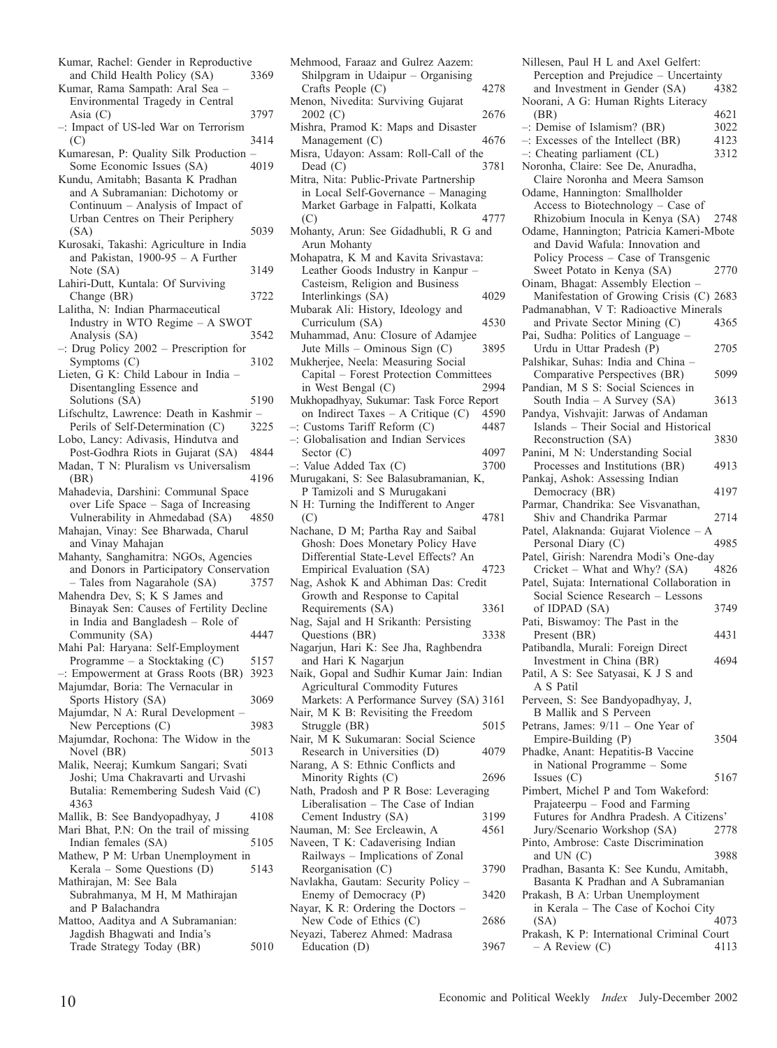- Kumar, Rachel: Gender in Reproductive<br>and Child Health Policy (SA) 3369 and Child Health Policy (SA) Kumar, Rama Sampath: Aral Sea – Environmental Tragedy in Central Asia  $(C)$  3797 –: Impact of US-led War on Terrorism (C) 3414 Kumaresan, P: Quality Silk Production – Some Economic Issues (SA) 4019 Kundu, Amitabh; Basanta K Pradhan and A Subramanian: Dichotomy or Continuum – Analysis of Impact of Urban Centres on Their Periphery (SA) 5039 Kurosaki, Takashi: Agriculture in India and Pakistan, 1900-95 – A Further Note (SA) 3149 Lahiri-Dutt, Kuntala: Of Surviving Change (BR) 3722 Lalitha, N: Indian Pharmaceutical Industry in WTO Regime – A SWOT<br>Analysis (SA) 3542 Analysis (SA) –: Drug Policy 2002 – Prescription for Symptoms (C) 3102 Lieten, G K: Child Labour in India – Disentangling Essence and Solutions (SA) 5190 Lifschultz, Lawrence: Death in Kashmir –<br>Perils of Self-Determination (C) 3225 Perils of Self-Determination (C) Lobo, Lancy: Adivasis, Hindutva and Post-Godhra Riots in Gujarat (SA) 4844 Madan, T N: Pluralism vs Universalism (BR) 4196 Mahadevia, Darshini: Communal Space over Life Space – Saga of Increasing<br>Vulnerability in Ahmedabad (SA) – 4850 Vulnerability in Ahmedabad (SA) Mahajan, Vinay: See Bharwada, Charul and Vinay Mahajan Mahanty, Sanghamitra: NGOs, Agencies and Donors in Participatory Conservation – Tales from Nagarahole (SA) 3757 Mahendra Dev, S; K S James and Binayak Sen: Causes of Fertility Decline in India and Bangladesh – Role of Community (SA) 4447 Mahi Pal: Haryana: Self-Employment Programme – a Stocktaking (C) 5157 –: Empowerment at Grass Roots (BR) 3923 Majumdar, Boria: The Vernacular in Sports History (SA) 3069 Majumdar, N A: Rural Development – New Perceptions (C) 3983 Majumdar, Rochona: The Widow in the<br>Novel (BR) 5013 Novel  $(RR)$ Malik, Neeraj; Kumkum Sangari; Svati Joshi; Uma Chakravarti and Urvashi Butalia: Remembering Sudesh Vaid (C) 4363 Mallik, B: See Bandyopadhyay, J 4108 Mari Bhat, P.N: On the trail of missing<br>Indian females (SA) 5105 Indian females  $(SA)$ Mathew, P M: Urban Unemployment in Kerala – Some Questions (D) 5143 Mathirajan, M: See Bala Subrahmanya, M H, M Mathirajan and P Balachandra Mattoo, Aaditya and A Subramanian: Jagdish Bhagwati and India's Trade Strategy Today (BR) 5010
- Mehmood, Faraaz and Gulrez Aazem: Shilpgram in Udaipur – Organising Crafts People (C) 4278 Menon, Nivedita: Surviving Gujarat 2002 (C) 2676 Mishra, Pramod K: Maps and Disaster Management (C) 4676 Misra, Udayon: Assam: Roll-Call of the Dead (C) 3781 Mitra, Nita: Public-Private Partnership in Local Self-Governance – Managing Market Garbage in Falpatti, Kolkata (C) 4777 Mohanty, Arun: See Gidadhubli, R G and Arun Mohanty Mohapatra, K M and Kavita Srivastava: Leather Goods Industry in Kanpur – Casteism, Religion and Business Interlinkings (SA) 4029 Mubarak Ali: History, Ideology and Curriculum (SA) 4530 Muhammad, Anu: Closure of Adamjee Jute Mills – Ominous Sign (C) 3895 Mukherjee, Neela: Measuring Social Capital – Forest Protection Committees in West Bengal  $(C)$ Mukhopadhyay, Sukumar: Task Force Report on Indirect Taxes – A Critique (C) 4590<br>Customs Tariff Reform (C) 4487  $-$ : Customs Tariff Reform  $(C)$ –: Globalisation and Indian Services Sector (C)  $4097$ <br>Value Added Tax (C)  $3700$  $-$ : Value Added Tax  $(C)$ Murugakani, S: See Balasubramanian, K, P Tamizoli and S Murugakani N H: Turning the Indifferent to Anger (C) 4781 Nachane, D M; Partha Ray and Saibal Ghosh: Does Monetary Policy Have Differential State-Level Effects? An Empirical Evaluation (SA) 4723 Nag, Ashok K and Abhiman Das: Credit Growth and Response to Capital Requirements (SA) 3361 Nag, Sajal and H Srikanth: Persisting Questions (BR) 3338 Nagarjun, Hari K: See Jha, Raghbendra and Hari K Nagarjun Naik, Gopal and Sudhir Kumar Jain: Indian Agricultural Commodity Futures Markets: A Performance Survey (SA) 3161 Nair, M K B: Revisiting the Freedom Struggle (BR) 5015 Nair, M K Sukumaran: Social Science Research in Universities (D) 4079 Narang, A S: Ethnic Conflicts and Minority Rights (C) 2696 Nath, Pradosh and P R Bose: Leveraging Liberalisation – The Case of Indian Cement Industry (SA) 3199 Nauman, M: See Ercleawin, A 4561 Naveen, T K: Cadaverising Indian Railways – Implications of Zonal Reorganisation (C) 3790 Navlakha, Gautam: Security Policy – Enemy of Democracy (P) 3420 Nayar, K R: Ordering the Doctors – New Code of Ethics (C) 2686 Neyazi, Taberez Ahmed: Madrasa Education (D) 3967

Nillesen, Paul H L and Axel Gelfert: Perception and Prejudice – Uncertainty<br>and Investment in Gender (SA) 4382 and Investment in Gender (SA) Noorani, A G: Human Rights Literacy (BR) 4621 –: Demise of Islamism? (BR)  $3022$ <br>–: Excesses of the Intellect (BR)  $4123$  $-$ : Excesses of the Intellect (BR) –: Cheating parliament (CL) 3312 Noronha, Claire: See De, Anuradha, Claire Noronha and Meera Samson Odame, Hannington: Smallholder Access to Biotechnology – Case of Rhizobium Inocula in Kenya (SA) 2748 Odame, Hannington; Patricia Kameri-Mbote and David Wafula: Innovation and Policy Process – Case of Transgenic<br>Sweet Potato in Kenya (SA) 2770 Sweet Potato in Kenya (SA) Oinam, Bhagat: Assembly Election – Manifestation of Growing Crisis (C) 2683 Padmanabhan, V T: Radioactive Minerals and Private Sector Mining (C) 4365 Pai, Sudha: Politics of Language – Urdu in Uttar Pradesh (P) 2705 Palshikar, Suhas: India and China – Comparative Perspectives (BR) 5099 Pandian, M S S: Social Sciences in South India – A Survey  $(SA)$  3613 Pandya, Vishvajit: Jarwas of Andaman Islands – Their Social and Historical Reconstruction (SA) Panini, M N: Understanding Social Processes and Institutions (BR) 4913 Pankaj, Ashok: Assessing Indian Democracy (BR) 4197 Parmar, Chandrika: See Visvanathan, Shiv and Chandrika Parmar 2714 Patel, Alaknanda: Gujarat Violence – A Personal Diary (C) Patel, Girish: Narendra Modi's One-day<br>Cricket – What and Why? (SA) 4826  $Cricket - What and Why? (SA)$ Patel, Sujata: International Collaboration in Social Science Research – Lessons of IDPAD (SA) 3749 Pati, Biswamoy: The Past in the Present (BR) 4431 Patibandla, Murali: Foreign Direct Investment in China (BR) 4694 Patil, A S: See Satyasai, K J S and A S Patil Perveen, S: See Bandyopadhyay, J, B Mallik and S Perveen Petrans, James: 9/11 – One Year of Empire-Building (P) 3504 Phadke, Anant: Hepatitis-B Vaccine in National Programme – Some Issues  $(C)$  5167 Pimbert, Michel P and Tom Wakeford: Prajateerpu – Food and Farming Futures for Andhra Pradesh. A Citizens' Jury/Scenario Workshop (SA) 2778 Pinto, Ambrose: Caste Discrimination and UN (C) 3988 Pradhan, Basanta K: See Kundu, Amitabh, Basanta K Pradhan and A Subramanian Prakash, B A: Urban Unemployment in Kerala – The Case of Kochoi City (SA) 4073 Prakash, K P: International Criminal Court  $- A$  Review (C) 4113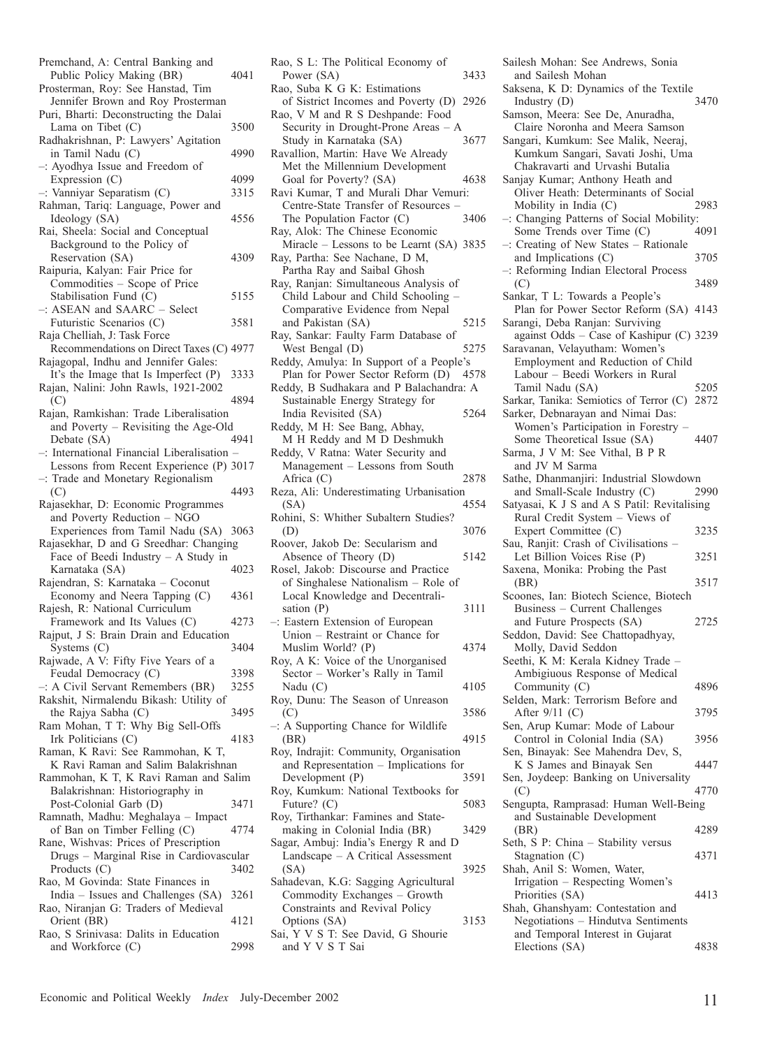| Premchand, A: Central Banking and<br>Public Policy Making (BR)                  | 4041 |
|---------------------------------------------------------------------------------|------|
| Prosterman, Roy: See Hanstad, Tim                                               |      |
| Jennifer Brown and Roy Prosterman                                               |      |
| Puri, Bharti: Deconstructing the Dalai                                          |      |
| Lama on Tibet (C)<br>Radhakrishnan, P: Lawyers' Agitation                       | 3500 |
| in Tamil Nadu (C)                                                               | 4990 |
| $-$ : Ayodhya Issue and Freedom of                                              |      |
| Expression $(C)$                                                                | 4099 |
| -: Vanniyar Separatism (C)                                                      | 3315 |
| Rahman, Tariq: Language, Power and<br>Ideology (SA)                             | 4556 |
| Rai, Sheela: Social and Conceptual                                              |      |
| Background to the Policy of                                                     |      |
| Reservation (SA)                                                                | 4309 |
| Raipuria, Kalyan: Fair Price for                                                |      |
| Commodities - Scope of Price                                                    |      |
| Stabilisation Fund (C)<br>$-$ : ASEAN and SAARC $-$ Select                      | 5155 |
| Futuristic Scenarios (C)                                                        | 3581 |
| Raja Chelliah, J: Task Force                                                    |      |
| Recommendations on Direct Taxes (C) 4977                                        |      |
| Rajagopal, Indhu and Jennifer Gales:                                            |      |
| It's the Image that Is Imperfect (P)                                            | 3333 |
| Rajan, Nalini: John Rawls, 1921-2002<br>(C)                                     | 4894 |
| Rajan, Ramkishan: Trade Liberalisation                                          |      |
| and Poverty – Revisiting the Age-Old                                            |      |
| Debate (SA)                                                                     | 4941 |
| -: International Financial Liberalisation                                       |      |
| Lessons from Recent Experience (P) 3017<br>-: Trade and Monetary Regionalism    |      |
| (C)                                                                             | 4493 |
| Rajasekhar, D: Economic Programmes                                              |      |
| and Poverty Reduction - NGO                                                     |      |
| Experiences from Tamil Nadu (SA)                                                | 3063 |
| Rajasekhar, D and G Sreedhar: Changing<br>Face of Beedi Industry $- A$ Study in |      |
| Karnataka (SA)                                                                  | 4023 |
| Rajendran, S: Karnataka - Coconut                                               |      |
| Economy and Neera Tapping (C)                                                   | 4361 |
| Rajesh, R: National Curriculum                                                  |      |
| Framework and Its Values (C)                                                    | 4273 |
| Rajput, J S: Brain Drain and Education<br>Systems $(C)$                         | 3404 |
| Rajwade, A V: Fifty Five Years of a                                             |      |
| Feudal Democracy (C)                                                            | 3398 |
| $-$ : A Civil Servant Remembers (BR)                                            | 3255 |
| Rakshit, Nirmalendu Bikash: Utility of                                          |      |
| the Rajya Sabha (C)<br>Ram Mohan, T T: Why Big Sell-Offs                        | 3495 |
| Irk Politicians (C)                                                             | 4183 |
| Raman, K Ravi: See Rammohan, K T,                                               |      |
| K Ravi Raman and Salim Balakrishnan                                             |      |
| Rammohan, K T, K Ravi Raman and Salim                                           |      |
| Balakrishnan: Historiography in<br>Post-Colonial Garb (D)                       | 3471 |
| Ramnath, Madhu: Meghalaya - Impact                                              |      |
| of Ban on Timber Felling (C)                                                    | 4774 |
| Rane, Wishvas: Prices of Prescription                                           |      |
| Drugs - Marginal Rise in Cardiovascular                                         |      |
| Products $(C)$<br>Rao, M Govinda: State Finances in                             | 3402 |
| India – Issues and Challenges (SA)                                              | 3261 |
| Rao, Niranjan G: Traders of Medieval                                            |      |
| Orient (BR)                                                                     | 4121 |
|                                                                                 |      |
| Rao, S Srinivasa: Dalits in Education<br>and Workforce (C)                      | 2998 |

| Rao, S L: The Political Economy of                                                                    |      |
|-------------------------------------------------------------------------------------------------------|------|
| Power (SA)<br>Rao, Suba K G K: Estimations                                                            | 3433 |
| of Sistrict Incomes and Poverty (D)<br>Rao, V M and R S Deshpande: Food                               | 2926 |
| Security in Drought-Prone Areas - A<br>Study in Karnataka (SA)<br>Ravallion, Martin: Have We Already  | 3677 |
| Met the Millennium Development                                                                        | 4638 |
| Goal for Poverty? (SA)<br>Ravi Kumar, T and Murali Dhar Vemuri:<br>Centre-State Transfer of Resources |      |
| The Population Factor (C)<br>Ray, Alok: The Chinese Economic                                          | 3406 |
| Miracle - Lessons to be Learnt (SA) 3835<br>Ray, Partha: See Nachane, D M,                            |      |
| Partha Ray and Saibal Ghosh                                                                           |      |
| Ray, Ranjan: Simultaneous Analysis of<br>Child Labour and Child Schooling -                           |      |
| Comparative Evidence from Nepal<br>and Pakistan (SA)                                                  | 5215 |
| Ray, Sankar: Faulty Farm Database of                                                                  |      |
| West Bengal (D)<br>Reddy, Amulya: In Support of a People's                                            | 5275 |
| Plan for Power Sector Reform (D)                                                                      | 4578 |
| Reddy, B Sudhakara and P Balachandra: A                                                               |      |
| Sustainable Energy Strategy for<br>India Revisited (SA)                                               | 5264 |
| Reddy, M H: See Bang, Abhay,                                                                          |      |
| M H Reddy and M D Deshmukh<br>Reddy, V Ratna: Water Security and                                      |      |
| Management - Lessons from South                                                                       |      |
| Africa $(C)$<br>Reza, Ali: Underestimating Urbanisation                                               | 2878 |
| (SA)                                                                                                  | 4554 |
| Rohini, S: Whither Subaltern Studies?<br>(D)                                                          | 3076 |
| Roover, Jakob De: Secularism and                                                                      |      |
| Absence of Theory (D)<br>Rosel, Jakob: Discourse and Practice                                         | 5142 |
| of Singhalese Nationalism - Role of                                                                   |      |
| Local Knowledge and Decentrali-                                                                       |      |
| sation $(P)$<br>-: Eastern Extension of European                                                      | 3111 |
| Union - Restraint or Chance for                                                                       |      |
| Muslim World? (P)<br>Roy, A K: Voice of the Unorganised                                               | 4374 |
| Sector - Worker's Rally in Tamil                                                                      |      |
| Nadu (C)<br>Roy, Dunu: The Season of Unreason                                                         | 4105 |
| (C)                                                                                                   | 3586 |
| $-$ : A Supporting Chance for Wildlife                                                                | 4915 |
| (BR)<br>Roy, Indrajit: Community, Organisation                                                        |      |
| and Representation - Implications for                                                                 |      |
| Development (P)<br>Roy, Kumkum: National Textbooks for                                                | 3591 |
| Future? $(C)$                                                                                         | 5083 |
| Roy, Tirthankar: Famines and State-<br>making in Colonial India (BR)                                  | 3429 |
| Sagar, Ambuj: India's Energy R and D<br>Landscape – A Critical Assessment                             |      |
| (SA)                                                                                                  | 3925 |
| Sahadevan, K.G: Sagging Agricultural                                                                  |      |
| Commodity Exchanges - Growth                                                                          |      |
| Constraints and Revival Policy<br>Options (SA)                                                        | 3153 |
| Sai, Y V S T: See David, G Shourie<br>and Y V S T Sai                                                 |      |
|                                                                                                       |      |

Sailesh Mohan: See Andrews, Sonia and Sailesh Mohan Saksena, K D: Dynamics of the Textile<br>Industry (D) 3470 Industry  $(D)$ Samson, Meera: See De, Anuradha, Claire Noronha and Meera Samson Sangari, Kumkum: See Malik, Neeraj, Kumkum Sangari, Savati Joshi, Uma Chakravarti and Urvashi Butalia Sanjay Kumar; Anthony Heath and Oliver Heath: Determinants of Social<br>Mobility in India (C) 2983 Mobility in India  $(C)$ –: Changing Patterns of Social Mobility: Some Trends over Time (C) –: Creating of New States – Rationale and Implications (C) 3705 –: Reforming Indian Electoral Process  $(C)$  3489 Sankar, T L: Towards a People's Plan for Power Sector Reform (SA) 4143 Sarangi, Deba Ranjan: Surviving against Odds – Case of Kashipur (C) 3239 Saravanan, Velayutham: Women's Employment and Reduction of Child Labour – Beedi Workers in Rural Tamil Nadu (SA) 5205 Sarkar, Tanika: Semiotics of Terror (C) 2872 Sarker, Debnarayan and Nimai Das: Women's Participation in Forestry – Some Theoretical Issue (SA) 4407 Sarma, J V M: See Vithal, B P R and JV M Sarma Sathe, Dhanmanjiri: Industrial Slowdown<br>and Small-Scale Industry (C) 2990 and Small-Scale Industry  $(C)$ Satyasai, K J S and A S Patil: Revitalising Rural Credit System – Views of Expert Committee (C) 3235 Sau, Ranjit: Crash of Civilisations – Let Billion Voices Rise (P) 3251 Saxena, Monika: Probing the Past (BR) 3517 Scoones, Ian: Biotech Science, Biotech Business – Current Challenges and Future Prospects (SA) 2725 Seddon, David: See Chattopadhyay, Molly, David Seddon Seethi, K M: Kerala Kidney Trade – Ambigiuous Response of Medical Community (C) 4896 Selden, Mark: Terrorism Before and After 9/11 (C) 3795 Sen, Arup Kumar: Mode of Labour Control in Colonial India (SA) 3956 Sen, Binayak: See Mahendra Dev, S, K S James and Binayak Sen 4447 Sen, Joydeep: Banking on Universality<br>
(C) 4770 (C) 4770 Sengupta, Ramprasad: Human Well-Being and Sustainable Development (BR) 4289 Seth, S P: China – Stability versus Stagnation (C) 4371 Shah, Anil S: Women, Water, Irrigation – Respecting Women's Priorities (SA) 4413 Shah, Ghanshyam: Contestation and Negotiations – Hindutva Sentiments and Temporal Interest in Gujarat Elections (SA) 4838